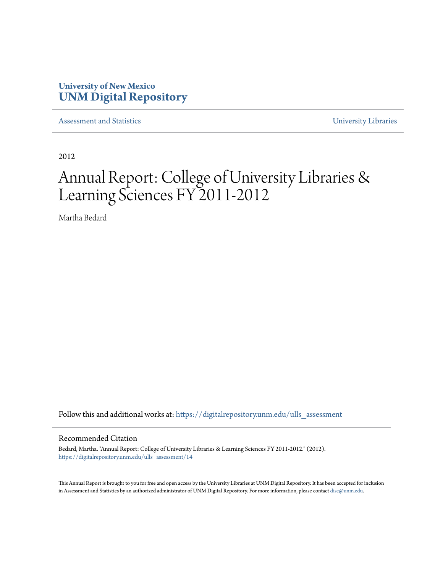## **University of New Mexico [UNM Digital Repository](https://digitalrepository.unm.edu?utm_source=digitalrepository.unm.edu%2Fulls_assessment%2F14&utm_medium=PDF&utm_campaign=PDFCoverPages)**

[Assessment and Statistics](https://digitalrepository.unm.edu/ulls_assessment?utm_source=digitalrepository.unm.edu%2Fulls_assessment%2F14&utm_medium=PDF&utm_campaign=PDFCoverPages) [University Libraries](https://digitalrepository.unm.edu/libraries?utm_source=digitalrepository.unm.edu%2Fulls_assessment%2F14&utm_medium=PDF&utm_campaign=PDFCoverPages)

2012

# Annual Report: College of University Libraries & Learning Sciences FY 2011-2012

Martha Bedard

Follow this and additional works at: [https://digitalrepository.unm.edu/ulls\\_assessment](https://digitalrepository.unm.edu/ulls_assessment?utm_source=digitalrepository.unm.edu%2Fulls_assessment%2F14&utm_medium=PDF&utm_campaign=PDFCoverPages)

#### Recommended Citation

Bedard, Martha. "Annual Report: College of University Libraries & Learning Sciences FY 2011-2012." (2012). [https://digitalrepository.unm.edu/ulls\\_assessment/14](https://digitalrepository.unm.edu/ulls_assessment/14?utm_source=digitalrepository.unm.edu%2Fulls_assessment%2F14&utm_medium=PDF&utm_campaign=PDFCoverPages)

This Annual Report is brought to you for free and open access by the University Libraries at UNM Digital Repository. It has been accepted for inclusion in Assessment and Statistics by an authorized administrator of UNM Digital Repository. For more information, please contact [disc@unm.edu.](mailto:disc@unm.edu)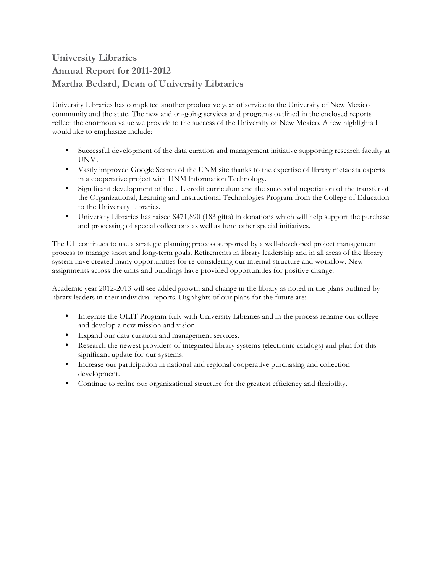## **University Libraries Annual Report for 2011-2012 Martha Bedard, Dean of University Libraries**

University Libraries has completed another productive year of service to the University of New Mexico community and the state. The new and on-going services and programs outlined in the enclosed reports reflect the enormous value we provide to the success of the University of New Mexico. A few highlights I would like to emphasize include:

- Successful development of the data curation and management initiative supporting research faculty at UNM.
- Vastly improved Google Search of the UNM site thanks to the expertise of library metadata experts in a cooperative project with UNM Information Technology.
- Significant development of the UL credit curriculum and the successful negotiation of the transfer of the Organizational, Learning and Instructional Technologies Program from the College of Education to the University Libraries.
- University Libraries has raised \$471,890 (183 gifts) in donations which will help support the purchase and processing of special collections as well as fund other special initiatives.

The UL continues to use a strategic planning process supported by a well-developed project management process to manage short and long-term goals. Retirements in library leadership and in all areas of the library system have created many opportunities for re-considering our internal structure and workflow. New assignments across the units and buildings have provided opportunities for positive change.

Academic year 2012-2013 will see added growth and change in the library as noted in the plans outlined by library leaders in their individual reports. Highlights of our plans for the future are:

- Integrate the OLIT Program fully with University Libraries and in the process rename our college and develop a new mission and vision.
- Expand our data curation and management services.
- Research the newest providers of integrated library systems (electronic catalogs) and plan for this significant update for our systems.
- Increase our participation in national and regional cooperative purchasing and collection development.
- Continue to refine our organizational structure for the greatest efficiency and flexibility.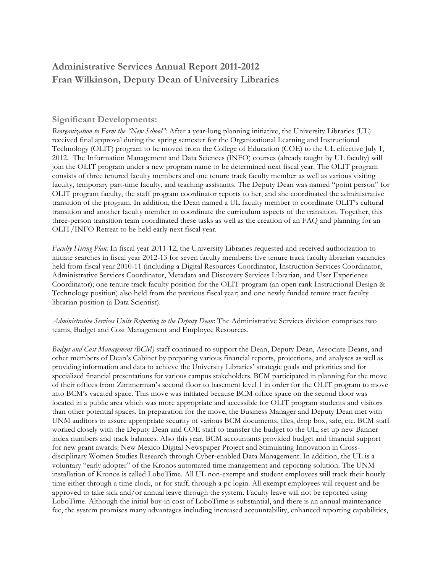## **Administrative Services Annual Report 2011-2012 Fran Wilkinson, Deputy Dean of University Libraries**

## **Significant Developments:**

*Reorganization to Form the "New School":* After a year-long planning initiative, the University Libraries (UL) received final approval during the spring semester for the Organizational Learning and Instructional Technology (OLIT) program to be moved from the College of Education (COE) to the UL effective July 1, 2012. The Information Management and Data Sciences (INFO) courses (already taught by UL faculty) will join the OLIT program under a new program name to be determined next fiscal year. The OLIT program consists of three tenured faculty members and one tenure track faculty member as well as various visiting faculty, temporary part-time faculty, and teaching assistants. The Deputy Dean was named "point person" for OLIT program faculty, the staff program coordinator reports to her, and she coordinated the administrative transition of the program. In addition, the Dean named a UL faculty member to coordinate OLIT's cultural transition and another faculty member to coordinate the curriculum aspects of the transition. Together, this three-person transition team coordinated these tasks as well as the creation of an FAQ and planning for an OLIT/INFO Retreat to be held early next fiscal year.

*Faculty Hiring Plan:* In fiscal year 2011-12, the University Libraries requested and received authorization to initiate searches in fiscal year 2012-13 for seven faculty members: five tenure track faculty librarian vacancies held from fiscal year 2010-11 (including a Digital Resources Coordinator, Instruction Services Coordinator, Administrative Services Coordinator, Metadata and Discovery Services Librarian, and User Experience Coordinator); one tenure track faculty position for the OLIT program (an open rank Instructional Design & Technology position) also held from the previous fiscal year; and one newly funded tenure tract faculty librarian position (a Data Scientist).

*Administrative Services Units Reporting to the Deputy Dean*: The Administrative Services division comprises two teams, Budget and Cost Management and Employee Resources.

*Budget and Cost Management (BCM)* staff continued to support the Dean, Deputy Dean, Associate Deans, and other members of Dean's Cabinet by preparing various financial reports, projections, and analyses as well as providing information and data to achieve the University Libraries' strategic goals and priorities and for specialized financial presentations for various campus stakeholders. BCM participated in planning for the move of their offices from Zimmerman's second floor to basement level 1 in order for the OLIT program to move into BCM's vacated space. This move was initiated because BCM office space on the second floor was located in a public area which was more appropriate and accessible for OLIT program students and visitors than other potential spaces. In preparation for the move, the Business Manager and Deputy Dean met with UNM auditors to assure appropriate security of various BCM documents, files, drop box, safe, etc. BCM staff worked closely with the Deputy Dean and COE staff to transfer the budget to the UL, set up new Banner index numbers and track balances. Also this year, BCM accountants provided budget and financial support for new grant awards: New Mexico Digital Newspaper Project and Stimulating Innovation in Crossdisciplinary Women Studies Research through Cyber-enabled Data Management. In addition, the UL is a voluntary "early adopter" of the Kronos automated time management and reporting solution. The UNM installation of Kronos is called LoboTime. All UL non-exempt and student employees will track their hourly time either through a time clock, or for staff, through a pc login. All exempt employees will request and be approved to take sick and/or annual leave through the system. Faculty leave will not be reported using LoboTime. Although the initial buy-in cost of LoboTime is substantial, and there is an annual maintenance fee, the system promises many advantages including increased accountability, enhanced reporting capabilities,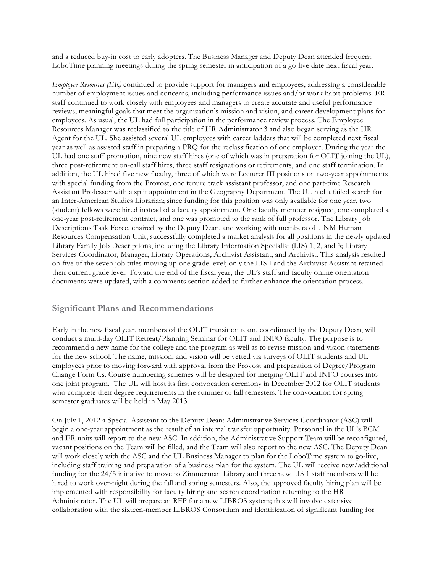and a reduced buy-in cost to early adopters. The Business Manager and Deputy Dean attended frequent LoboTime planning meetings during the spring semester in anticipation of a go-live date next fiscal year.

*Employee Resources (ER)* continued to provide support for managers and employees, addressing a considerable number of employment issues and concerns, including performance issues and/or work habit problems. ER staff continued to work closely with employees and managers to create accurate and useful performance reviews, meaningful goals that meet the organization's mission and vision, and career development plans for employees. As usual, the UL had full participation in the performance review process. The Employee Resources Manager was reclassified to the title of HR Administrator 3 and also began serving as the HR Agent for the UL. She assisted several UL employees with career ladders that will be completed next fiscal year as well as assisted staff in preparing a PRQ for the reclassification of one employee. During the year the UL had one staff promotion, nine new staff hires (one of which was in preparation for OLIT joining the UL), three post-retirement on-call staff hires, three staff resignations or retirements, and one staff termination. In addition, the UL hired five new faculty, three of which were Lecturer III positions on two-year appointments with special funding from the Provost, one tenure track assistant professor, and one part-time Research Assistant Professor with a split appointment in the Geography Department. The UL had a failed search for an Inter-American Studies Librarian; since funding for this position was only available for one year, two (student) fellows were hired instead of a faculty appointment. One faculty member resigned, one completed a one-year post-retirement contract, and one was promoted to the rank of full professor. The Library Job Descriptions Task Force, chaired by the Deputy Dean, and working with members of UNM Human Resources Compensation Unit, successfully completed a market analysis for all positions in the newly updated Library Family Job Descriptions, including the Library Information Specialist (LIS) 1, 2, and 3; Library Services Coordinator; Manager, Library Operations; Archivist Assistant; and Archivist. This analysis resulted on five of the seven job titles moving up one grade level; only the LIS I and the Archivist Assistant retained their current grade level. Toward the end of the fiscal year, the UL's staff and faculty online orientation documents were updated, with a comments section added to further enhance the orientation process.

## **Significant Plans and Recommendations**

Early in the new fiscal year, members of the OLIT transition team, coordinated by the Deputy Dean, will conduct a multi-day OLIT Retreat/Planning Seminar for OLIT and INFO faculty. The purpose is to recommend a new name for the college and the program as well as to revise mission and vision statements for the new school. The name, mission, and vision will be vetted via surveys of OLIT students and UL employees prior to moving forward with approval from the Provost and preparation of Degree/Program Change Form Cs. Course numbering schemes will be designed for merging OLIT and INFO courses into one joint program. The UL will host its first convocation ceremony in December 2012 for OLIT students who complete their degree requirements in the summer or fall semesters. The convocation for spring semester graduates will be held in May 2013.

On July 1, 2012 a Special Assistant to the Deputy Dean: Administrative Services Coordinator (ASC) will begin a one-year appointment as the result of an internal transfer opportunity. Personnel in the UL's BCM and ER units will report to the new ASC. In addition, the Administrative Support Team will be reconfigured, vacant positions on the Team will be filled, and the Team will also report to the new ASC. The Deputy Dean will work closely with the ASC and the UL Business Manager to plan for the LoboTime system to go-live, including staff training and preparation of a business plan for the system. The UL will receive new/additional funding for the 24/5 initiative to move to Zimmerman Library and three new LIS 1 staff members will be hired to work over-night during the fall and spring semesters. Also, the approved faculty hiring plan will be implemented with responsibility for faculty hiring and search coordination returning to the HR Administrator. The UL will prepare an RFP for a new LIBROS system; this will involve extensive collaboration with the sixteen-member LIBROS Consortium and identification of significant funding for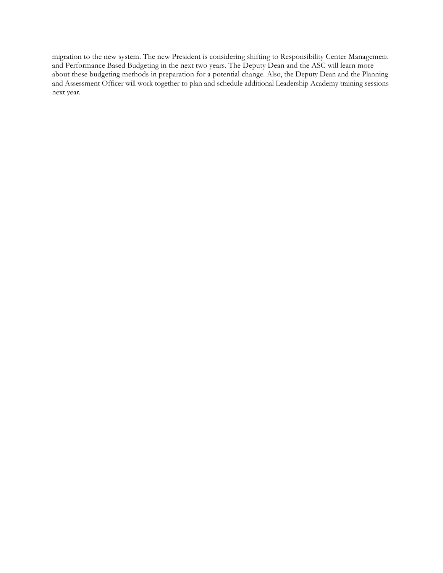migration to the new system. The new President is considering shifting to Responsibility Center Management and Performance Based Budgeting in the next two years. The Deputy Dean and the ASC will learn more about these budgeting methods in preparation for a potential change. Also, the Deputy Dean and the Planning and Assessment Officer will work together to plan and schedule additional Leadership Academy training sessions next year.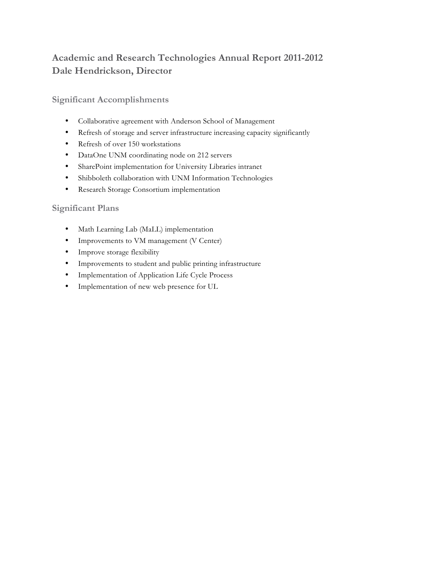## **Academic and Research Technologies Annual Report 2011-2012 Dale Hendrickson, Director**

**Significant Accomplishments**

- Collaborative agreement with Anderson School of Management
- Refresh of storage and server infrastructure increasing capacity significantly
- Refresh of over 150 workstations
- DataOne UNM coordinating node on 212 servers
- SharePoint implementation for University Libraries intranet
- Shibboleth collaboration with UNM Information Technologies
- Research Storage Consortium implementation

## **Significant Plans**

- Math Learning Lab (MaLL) implementation
- Improvements to VM management (V Center)
- Improve storage flexibility
- Improvements to student and public printing infrastructure
- Implementation of Application Life Cycle Process
- Implementation of new web presence for UL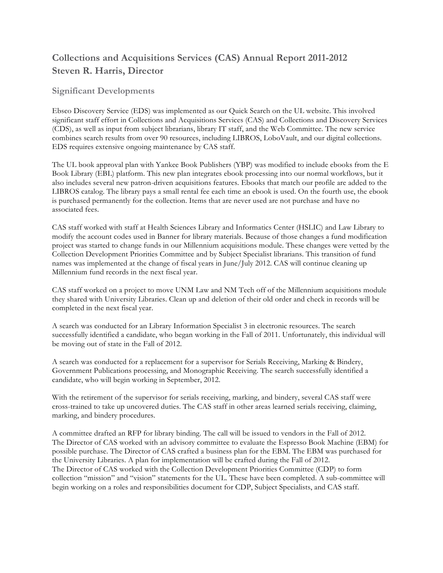## **Collections and Acquisitions Services (CAS) Annual Report 2011-2012 Steven R. Harris, Director**

## **Significant Developments**

Ebsco Discovery Service (EDS) was implemented as our Quick Search on the UL website. This involved significant staff effort in Collections and Acquisitions Services (CAS) and Collections and Discovery Services (CDS), as well as input from subject librarians, library IT staff, and the Web Committee. The new service combines search results from over 90 resources, including LIBROS, LoboVault, and our digital collections. EDS requires extensive ongoing maintenance by CAS staff.

The UL book approval plan with Yankee Book Publishers (YBP) was modified to include ebooks from the E Book Library (EBL) platform. This new plan integrates ebook processing into our normal workflows, but it also includes several new patron-driven acquisitions features. Ebooks that match our profile are added to the LIBROS catalog. The library pays a small rental fee each time an ebook is used. On the fourth use, the ebook is purchased permanently for the collection. Items that are never used are not purchase and have no associated fees.

CAS staff worked with staff at Health Sciences Library and Informatics Center (HSLIC) and Law Library to modify the account codes used in Banner for library materials. Because of those changes a fund modification project was started to change funds in our Millennium acquisitions module. These changes were vetted by the Collection Development Priorities Committee and by Subject Specialist librarians. This transition of fund names was implemented at the change of fiscal years in June/July 2012. CAS will continue cleaning up Millennium fund records in the next fiscal year.

CAS staff worked on a project to move UNM Law and NM Tech off of the Millennium acquisitions module they shared with University Libraries. Clean up and deletion of their old order and check in records will be completed in the next fiscal year.

A search was conducted for an Library Information Specialist 3 in electronic resources. The search successfully identified a candidate, who began working in the Fall of 2011. Unfortunately, this individual will be moving out of state in the Fall of 2012.

A search was conducted for a replacement for a supervisor for Serials Receiving, Marking & Bindery, Government Publications processing, and Monographic Receiving. The search successfully identified a candidate, who will begin working in September, 2012.

With the retirement of the supervisor for serials receiving, marking, and bindery, several CAS staff were cross-trained to take up uncovered duties. The CAS staff in other areas learned serials receiving, claiming, marking, and bindery procedures.

A committee drafted an RFP for library binding. The call will be issued to vendors in the Fall of 2012. The Director of CAS worked with an advisory committee to evaluate the Espresso Book Machine (EBM) for possible purchase. The Director of CAS crafted a business plan for the EBM. The EBM was purchased for the University Libraries. A plan for implementation will be crafted during the Fall of 2012. The Director of CAS worked with the Collection Development Priorities Committee (CDP) to form collection "mission" and "vision" statements for the UL. These have been completed. A sub-committee will begin working on a roles and responsibilities document for CDP, Subject Specialists, and CAS staff.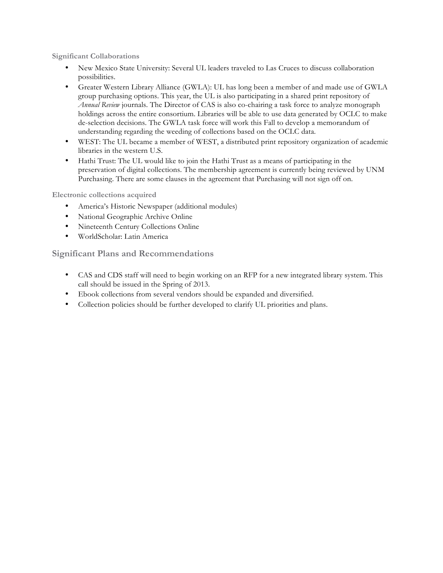**Significant Collaborations**

- New Mexico State University: Several UL leaders traveled to Las Cruces to discuss collaboration possibilities.
- Greater Western Library Alliance (GWLA): UL has long been a member of and made use of GWLA group purchasing options. This year, the UL is also participating in a shared print repository of *Annual Review* journals. The Director of CAS is also co-chairing a task force to analyze monograph holdings across the entire consortium. Libraries will be able to use data generated by OCLC to make de-selection decisions. The GWLA task force will work this Fall to develop a memorandum of understanding regarding the weeding of collections based on the OCLC data.
- WEST: The UL became a member of WEST, a distributed print repository organization of academic libraries in the western U.S.
- Hathi Trust: The UL would like to join the Hathi Trust as a means of participating in the preservation of digital collections. The membership agreement is currently being reviewed by UNM Purchasing. There are some clauses in the agreement that Purchasing will not sign off on.

**Electronic collections acquired**

- America's Historic Newspaper (additional modules)
- National Geographic Archive Online
- Nineteenth Century Collections Online
- WorldScholar: Latin America

**Significant Plans and Recommendations**

- CAS and CDS staff will need to begin working on an RFP for a new integrated library system. This call should be issued in the Spring of 2013.
- Ebook collections from several vendors should be expanded and diversified.
- Collection policies should be further developed to clarify UL priorities and plans.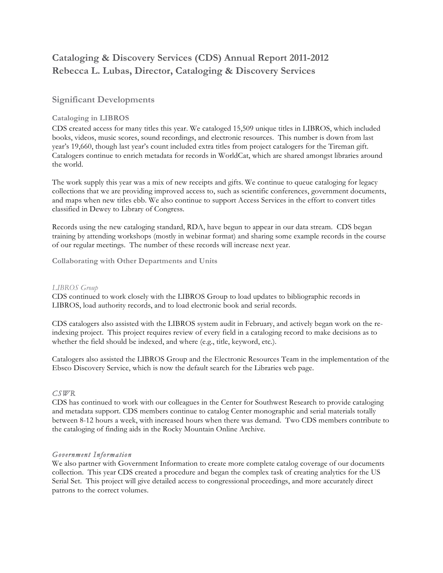## **Cataloging & Discovery Services (CDS) Annual Report 2011-2012 Rebecca L. Lubas, Director, Cataloging & Discovery Services**

## **Significant Developments**

## **Cataloging in LIBROS**

CDS created access for many titles this year. We cataloged 15,509 unique titles in LIBROS, which included books, videos, music scores, sound recordings, and electronic resources. This number is down from last year's 19,660, though last year's count included extra titles from project catalogers for the Tireman gift. Catalogers continue to enrich metadata for records in WorldCat, which are shared amongst libraries around the world.

The work supply this year was a mix of new receipts and gifts. We continue to queue cataloging for legacy collections that we are providing improved access to, such as scientific conferences, government documents, and maps when new titles ebb. We also continue to support Access Services in the effort to convert titles classified in Dewey to Library of Congress.

Records using the new cataloging standard, RDA, have begun to appear in our data stream. CDS began training by attending workshops (mostly in webinar format) and sharing some example records in the course of our regular meetings. The number of these records will increase next year.

**Collaborating with Other Departments and Units**

### *LIBROS Group*

CDS continued to work closely with the LIBROS Group to load updates to bibliographic records in LIBROS, load authority records, and to load electronic book and serial records.

CDS catalogers also assisted with the LIBROS system audit in February, and actively began work on the reindexing project. This project requires review of every field in a cataloging record to make decisions as to whether the field should be indexed, and where (e.g., title, keyword, etc.).

Catalogers also assisted the LIBROS Group and the Electronic Resources Team in the implementation of the Ebsco Discovery Service, which is now the default search for the Libraries web page.

## *CSWR*

CDS has continued to work with our colleagues in the Center for Southwest Research to provide cataloging and metadata support. CDS members continue to catalog Center monographic and serial materials totally between 8-12 hours a week, with increased hours when there was demand. Two CDS members contribute to the cataloging of finding aids in the Rocky Mountain Online Archive.

## *Government Information*

We also partner with Government Information to create more complete catalog coverage of our documents collection. This year CDS created a procedure and began the complex task of creating analytics for the US Serial Set. This project will give detailed access to congressional proceedings, and more accurately direct patrons to the correct volumes.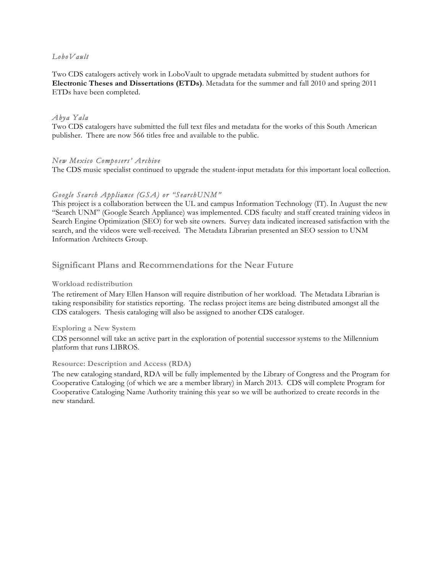### *LoboVault*

Two CDS catalogers actively work in LoboVault to upgrade metadata submitted by student authors for **Electronic Theses and Dissertations (ETDs)**. Metadata for the summer and fall 2010 and spring 2011 ETDs have been completed.

### *Abya Yala*

Two CDS catalogers have submitted the full text files and metadata for the works of this South American publisher. There are now 566 titles free and available to the public.

### *New Mexico Composers' Archive*

The CDS music specialist continued to upgrade the student-input metadata for this important local collection.

## *Google Search Appliance (GSA) or "SearchUNM"*

This project is a collaboration between the UL and campus Information Technology (IT). In August the new "Search UNM" (Google Search Appliance) was implemented. CDS faculty and staff created training videos in Search Engine Optimization (SEO) for web site owners. Survey data indicated increased satisfaction with the search, and the videos were well-received. The Metadata Librarian presented an SEO session to UNM Information Architects Group.

## **Significant Plans and Recommendations for the Near Future**

#### **Workload redistribution**

The retirement of Mary Ellen Hanson will require distribution of her workload. The Metadata Librarian is taking responsibility for statistics reporting. The reclass project items are being distributed amongst all the CDS catalogers. Thesis cataloging will also be assigned to another CDS cataloger.

#### **Exploring a New System**

CDS personnel will take an active part in the exploration of potential successor systems to the Millennium platform that runs LIBROS.

#### **Resource: Description and Access (RDA)**

The new cataloging standard, RDA will be fully implemented by the Library of Congress and the Program for Cooperative Cataloging (of which we are a member library) in March 2013. CDS will complete Program for Cooperative Cataloging Name Authority training this year so we will be authorized to create records in the new standard.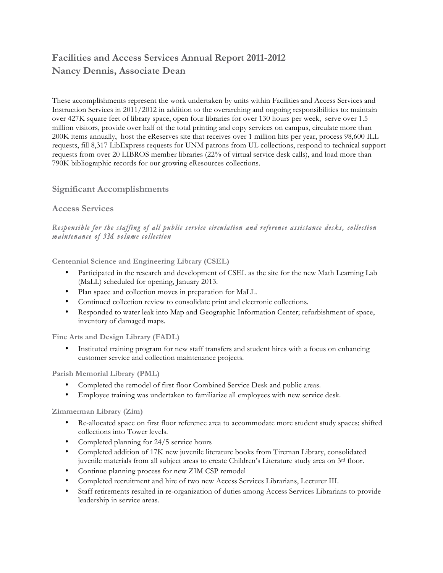## **Facilities and Access Services Annual Report 2011-2012 Nancy Dennis, Associate Dean**

These accomplishments represent the work undertaken by units within Facilities and Access Services and Instruction Services in 2011/2012 in addition to the overarching and ongoing responsibilities to: maintain over 427K square feet of library space, open four libraries for over 130 hours per week, serve over 1.5 million visitors, provide over half of the total printing and copy services on campus, circulate more than 200K items annually, host the eReserves site that receives over 1 million hits per year, process 98,600 ILL requests, fill 8,317 LibExpress requests for UNM patrons from UL collections, respond to technical support requests from over 20 LIBROS member libraries (22% of virtual service desk calls), and load more than 790K bibliographic records for our growing eResources collections.

## **Significant Accomplishments**

## **Access Services**

## *Responsible for the staffing of all public service circulation and reference assistance desks, collection maintenance of 3M volume collection*

**Centennial Science and Engineering Library (CSEL)**

- Participated in the research and development of CSEL as the site for the new Math Learning Lab (MaLL) scheduled for opening, January 2013.
- Plan space and collection moves in preparation for MaLL.
- Continued collection review to consolidate print and electronic collections.
- Responded to water leak into Map and Geographic Information Center; refurbishment of space, inventory of damaged maps.

**Fine Arts and Design Library (FADL)**

• Instituted training program for new staff transfers and student hires with a focus on enhancing customer service and collection maintenance projects.

**Parish Memorial Library (PML)**

- Completed the remodel of first floor Combined Service Desk and public areas.
- Employee training was undertaken to familiarize all employees with new service desk.

**Zimmerman Library (Zim)**

- Re-allocated space on first floor reference area to accommodate more student study spaces; shifted collections into Tower levels.
- Completed planning for 24/5 service hours
- Completed addition of 17K new juvenile literature books from Tireman Library, consolidated juvenile materials from all subject areas to create Children's Literature study area on 3<sup>rd</sup> floor.
- Continue planning process for new ZIM CSP remodel
- Completed recruitment and hire of two new Access Services Librarians, Lecturer III.
- Staff retirements resulted in re-organization of duties among Access Services Librarians to provide leadership in service areas.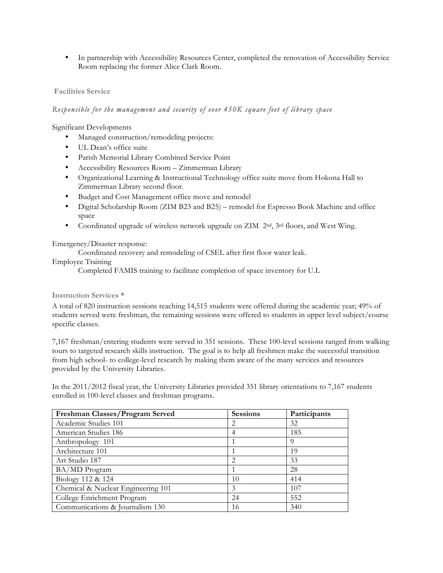• In partnership with Accessibility Resources Center, completed the renovation of Accessibility Service Room replacing the former Alice Clark Room.

### **Facilities Service**

### *Responsible for the management and security of over 450K square feet of library space*

Significant Developments

- Managed construction/remodeling projects:
- UL Dean's office suite
- Parish Memorial Library Combined Service Point
- Accessibility Resources Room Zimmerman Library
- Organizational Learning & Instructional Technology office suite move from Hokona Hall to Zimmerman Library second floor.
- Budget and Cost Management office move and remodel
- Digital Scholarship Room (ZIM B23 and B25) remodel for Espresso Book Machine and office space
- Coordinated upgrade of wireless network upgrade on ZIM 2nd, 3rd floors, and West Wing.

#### Emergency/Disaster response:

Coordinated recovery and remodeling of CSEL after first floor water leak.

### Employee Training

Completed FAMIS training to facilitate completion of space inventory for U.L

#### **Instruction Services \***

A total of 820 instruction sessions reaching 14,515 students were offered during the academic year; 49% of students served were freshman, the remaining sessions were offered to students in upper level subject/course specific classes.

7,167 freshman/entering students were served in 351 sessions. These 100-level sessions ranged from walking tours to targeted research skills instruction. The goal is to help all freshmen make the successful transition from high school- to college-level research by making them aware of the many services and resources provided by the University Libraries.

In the 2011/2012 fiscal year, the University Libraries provided 351 library orientations to 7,167 students enrolled in 100-level classes and freshman programs.

| Freshman Classes/Program Served    | <b>Sessions</b> | Participants |
|------------------------------------|-----------------|--------------|
| Academic Studies 101               |                 | 32           |
| American Studies 186               | 4               | 185          |
| Anthropology 101                   |                 | 9            |
| Architecture 101                   |                 | 19           |
| Art Studio 187                     | 2               | 33           |
| BA/MD Program                      |                 | 28           |
| Biology 112 & 124                  | 10              | 414          |
| Chemical & Nuclear Engineering 101 | 3               | 107          |
| College Enrichment Program         | 24              | 552          |
| Communications & Journalism 130    | 16              | 340          |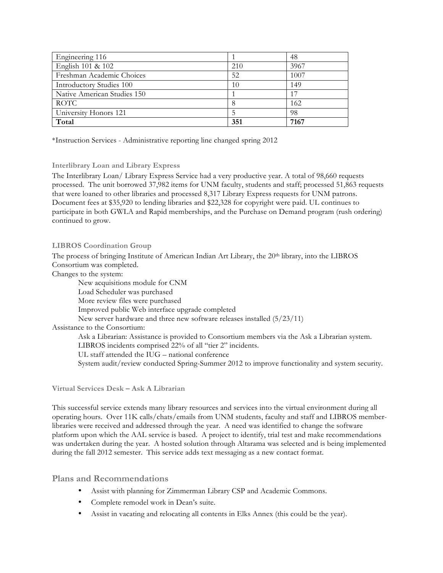| Engineering 116                 |     | 48   |
|---------------------------------|-----|------|
| English 101 & 102               | 210 | 3967 |
| Freshman Academic Choices       | 52  | 1007 |
| <b>Introductory Studies 100</b> | 10  | 149  |
| Native American Studies 150     |     |      |
| <b>ROTC</b>                     |     | 162  |
| University Honors 121           |     | 98   |
| Total                           | 351 | 7167 |

\*Instruction Services - Administrative reporting line changed spring 2012

## **Interlibrary Loan and Library Express**

The Interlibrary Loan/ Library Express Service had a very productive year. A total of 98,660 requests processed. The unit borrowed 37,982 items for UNM faculty, students and staff; processed 51,863 requests that were loaned to other libraries and processed 8,317 Library Express requests for UNM patrons. Document fees at \$35,920 to lending libraries and \$22,328 for copyright were paid. UL continues to participate in both GWLA and Rapid memberships, and the Purchase on Demand program (rush ordering) continued to grow.

## **LIBROS Coordination Group**

The process of bringing Institute of American Indian Art Library, the 20th library, into the LIBROS Consortium was completed.

Changes to the system:

New acquisitions module for CNM Load Scheduler was purchased More review files were purchased Improved public Web interface upgrade completed New server hardware and three new software releases installed (5/23/11) Assistance to the Consortium: Ask a Librarian: Assistance is provided to Consortium members via the Ask a Librarian system. LIBROS incidents comprised 22% of all "tier 2" incidents. UL staff attended the IUG – national conference System audit/review conducted Spring-Summer 2012 to improve functionality and system security.

#### **Virtual Services Desk – Ask A Librarian**

This successful service extends many library resources and services into the virtual environment during all operating hours. Over 11K calls/chats/emails from UNM students, faculty and staff and LIBROS memberlibraries were received and addressed through the year. A need was identified to change the software platform upon which the AAL service is based. A project to identify, trial test and make recommendations was undertaken during the year. A hosted solution through Altarama was selected and is being implemented during the fall 2012 semester. This service adds text messaging as a new contact format.

## **Plans and Recommendations**

- Assist with planning for Zimmerman Library CSP and Academic Commons.
- Complete remodel work in Dean's suite.
- Assist in vacating and relocating all contents in Elks Annex (this could be the year).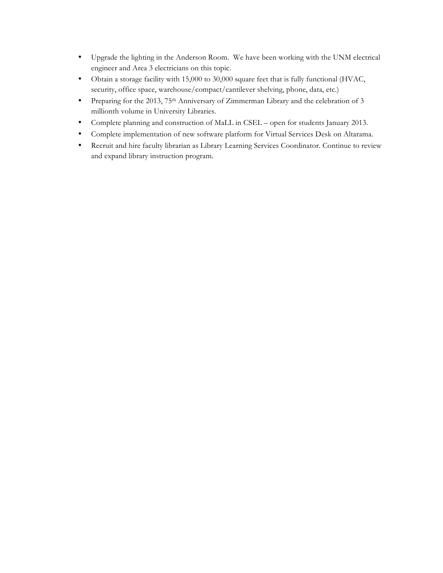- Upgrade the lighting in the Anderson Room. We have been working with the UNM electrical engineer and Area 3 electricians on this topic.
- Obtain a storage facility with 15,000 to 30,000 square feet that is fully functional (HVAC, security, office space, warehouse/compact/cantilever shelving, phone, data, etc.)
- Preparing for the 2013, 75<sup>th</sup> Anniversary of Zimmerman Library and the celebration of 3 millionth volume in University Libraries.
- Complete planning and construction of MaLL in CSEL open for students January 2013.
- Complete implementation of new software platform for Virtual Services Desk on Altarama.
- Recruit and hire faculty librarian as Library Learning Services Coordinator. Continue to review and expand library instruction program.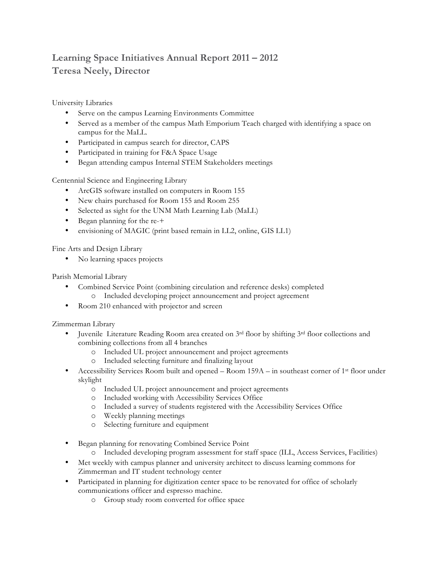## **Learning Space Initiatives Annual Report 2011 – 2012 Teresa Neely, Director**

University Libraries

- Serve on the campus Learning Environments Committee
- Served as a member of the campus Math Emporium Teach charged with identifying a space on campus for the MaLL.
- Participated in campus search for director, CAPS
- Participated in training for F&A Space Usage
- Began attending campus Internal STEM Stakeholders meetings

Centennial Science and Engineering Library

- ArcGIS software installed on computers in Room 155
- New chairs purchased for Room 155 and Room 255
- Selected as sight for the UNM Math Learning Lab (MaLL)
- Began planning for the re-+
- envisioning of MAGIC (print based remain in LL2, online, GIS LL1)

Fine Arts and Design Library

• No learning spaces projects

Parish Memorial Library

- Combined Service Point (combining circulation and reference desks) completed o Included developing project announcement and project agreement
- Room 210 enhanced with projector and screen

Zimmerman Library

- Juvenile Literature Reading Room area created on  $3<sup>rd</sup>$  floor by shifting  $3<sup>rd</sup>$  floor collections and combining collections from all 4 branches
	- o Included UL project announcement and project agreements
	- o Included selecting furniture and finalizing layout
- Accessibility Services Room built and opened Room  $159A in$  southeast corner of 1<sup>st</sup> floor under skylight
	- o Included UL project announcement and project agreements
	- o Included working with Accessibility Services Office
	- o Included a survey of students registered with the Accessibility Services Office
	- o Weekly planning meetings
	- o Selecting furniture and equipment
- Began planning for renovating Combined Service Point
	- o Included developing program assessment for staff space (ILL, Access Services, Facilities)
- Met weekly with campus planner and university architect to discuss learning commons for Zimmerman and IT student technology center
- Participated in planning for digitization center space to be renovated for office of scholarly communications officer and espresso machine.
	- o Group study room converted for office space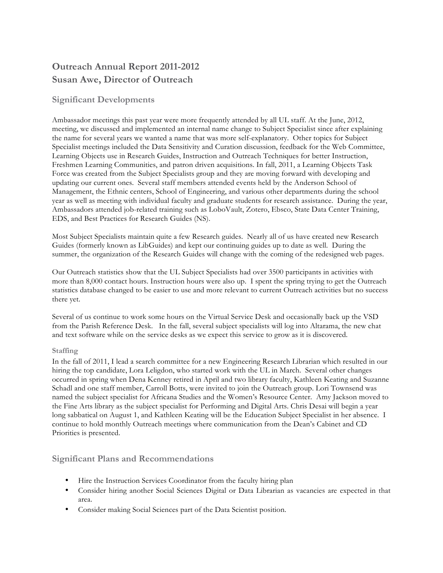## **Outreach Annual Report 2011-2012 Susan Awe, Director of Outreach**

## **Significant Developments**

Ambassador meetings this past year were more frequently attended by all UL staff. At the June, 2012, meeting, we discussed and implemented an internal name change to Subject Specialist since after explaining the name for several years we wanted a name that was more self-explanatory. Other topics for Subject Specialist meetings included the Data Sensitivity and Curation discussion, feedback for the Web Committee, Learning Objects use in Research Guides, Instruction and Outreach Techniques for better Instruction, Freshmen Learning Communities, and patron driven acquisitions. In fall, 2011, a Learning Objects Task Force was created from the Subject Specialists group and they are moving forward with developing and updating our current ones. Several staff members attended events held by the Anderson School of Management, the Ethnic centers, School of Engineering, and various other departments during the school year as well as meeting with individual faculty and graduate students for research assistance. During the year, Ambassadors attended job-related training such as LoboVault, Zotero, Ebsco, State Data Center Training, EDS, and Best Practices for Research Guides (NS).

Most Subject Specialists maintain quite a few Research guides. Nearly all of us have created new Research Guides (formerly known as LibGuides) and kept our continuing guides up to date as well. During the summer, the organization of the Research Guides will change with the coming of the redesigned web pages.

Our Outreach statistics show that the UL Subject Specialists had over 3500 participants in activities with more than 8,000 contact hours. Instruction hours were also up. I spent the spring trying to get the Outreach statistics database changed to be easier to use and more relevant to current Outreach activities but no success there yet.

Several of us continue to work some hours on the Virtual Service Desk and occasionally back up the VSD from the Parish Reference Desk. In the fall, several subject specialists will log into Altarama, the new chat and text software while on the service desks as we expect this service to grow as it is discovered.

## **Staffing**

In the fall of 2011, I lead a search committee for a new Engineering Research Librarian which resulted in our hiring the top candidate, Lora Leligdon, who started work with the UL in March. Several other changes occurred in spring when Dena Kenney retired in April and two library faculty, Kathleen Keating and Suzanne Schadl and one staff member, Carroll Botts, were invited to join the Outreach group. Lori Townsend was named the subject specialist for Africana Studies and the Women's Resource Center. Amy Jackson moved to the Fine Arts library as the subject specialist for Performing and Digital Arts. Chris Desai will begin a year long sabbatical on August 1, and Kathleen Keating will be the Education Subject Specialist in her absence. I continue to hold monthly Outreach meetings where communication from the Dean's Cabinet and CD Priorities is presented.

## **Significant Plans and Recommendations**

- Hire the Instruction Services Coordinator from the faculty hiring plan
- Consider hiring another Social Sciences Digital or Data Librarian as vacancies are expected in that area.
- Consider making Social Sciences part of the Data Scientist position.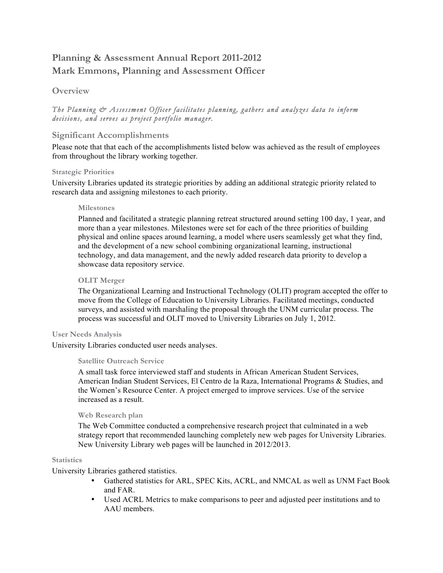## **Planning & Assessment Annual Report 2011-2012 Mark Emmons, Planning and Assessment Officer**

## **Overview**

## *The Planning & Assessment Officer facilitates planning, gathers and analyzes data to inform decisions, and serves as project portfolio manager.*

## **Significant Accomplishments**

Please note that that each of the accomplishments listed below was achieved as the result of employees from throughout the library working together.

## **Strategic Priorities**

University Libraries updated its strategic priorities by adding an additional strategic priority related to research data and assigning milestones to each priority.

### **Milestones**

Planned and facilitated a strategic planning retreat structured around setting 100 day, 1 year, and more than a year milestones. Milestones were set for each of the three priorities of building physical and online spaces around learning, a model where users seamlessly get what they find, and the development of a new school combining organizational learning, instructional technology, and data management, and the newly added research data priority to develop a showcase data repository service.

## **OLIT Merger**

The Organizational Learning and Instructional Technology (OLIT) program accepted the offer to move from the College of Education to University Libraries. Facilitated meetings, conducted surveys, and assisted with marshaling the proposal through the UNM curricular process. The process was successful and OLIT moved to University Libraries on July 1, 2012.

## **User Needs Analysis**

University Libraries conducted user needs analyses.

## **Satellite Outreach Service**

A small task force interviewed staff and students in African American Student Services, American Indian Student Services, El Centro de la Raza, International Programs & Studies, and the Women's Resource Center. A project emerged to improve services. Use of the service increased as a result.

## **Web Research plan**

The Web Committee conducted a comprehensive research project that culminated in a web strategy report that recommended launching completely new web pages for University Libraries. New University Library web pages will be launched in 2012/2013.

#### **Statistics**

University Libraries gathered statistics.

- Gathered statistics for ARL, SPEC Kits, ACRL, and NMCAL as well as UNM Fact Book and FAR.
- Used ACRL Metrics to make comparisons to peer and adjusted peer institutions and to AAU members.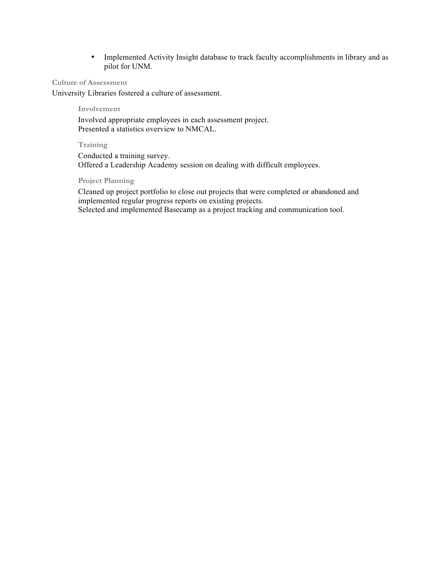• Implemented Activity Insight database to track faculty accomplishments in library and as pilot for UNM.

#### **Culture of Assessment**

University Libraries fostered a culture of assessment.

#### **Involvement**

Involved appropriate employees in each assessment project. Presented a statistics overview to NMCAL.

### **Training**

Conducted a training survey. Offered a Leadership Academy session on dealing with difficult employees.

## **Project Planning**

Cleaned up project portfolio to close out projects that were completed or abandoned and implemented regular progress reports on existing projects. Selected and implemented Basecamp as a project tracking and communication tool.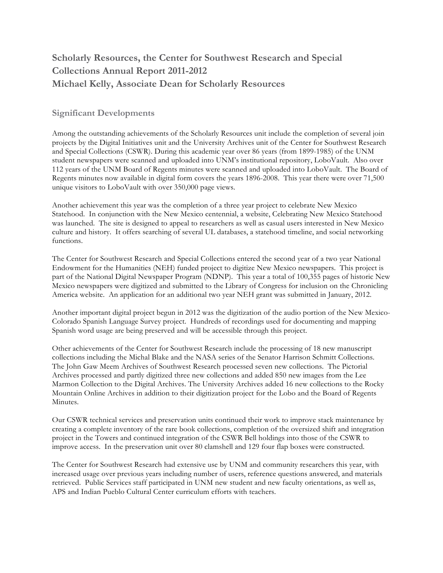## **Scholarly Resources, the Center for Southwest Research and Special Collections Annual Report 2011-2012 Michael Kelly, Associate Dean for Scholarly Resources**

## **Significant Developments**

Among the outstanding achievements of the Scholarly Resources unit include the completion of several join projects by the Digital Initiatives unit and the University Archives unit of the Center for Southwest Research and Special Collections (CSWR). During this academic year over 86 years (from 1899-1985) of the UNM student newspapers were scanned and uploaded into UNM's institutional repository, LoboVault. Also over 112 years of the UNM Board of Regents minutes were scanned and uploaded into LoboVault. The Board of Regents minutes now available in digital form covers the years 1896-2008. This year there were over 71,500 unique visitors to LoboVault with over 350,000 page views.

Another achievement this year was the completion of a three year project to celebrate New Mexico Statehood. In conjunction with the New Mexico centennial, a website, Celebrating New Mexico Statehood was launched. The site is designed to appeal to researchers as well as casual users interested in New Mexico culture and history. It offers searching of several UL databases, a statehood timeline, and social networking functions.

The Center for Southwest Research and Special Collections entered the second year of a two year National Endowment for the Humanities (NEH) funded project to digitize New Mexico newspapers. This project is part of the National Digital Newspaper Program (NDNP). This year a total of 100,355 pages of historic New Mexico newspapers were digitized and submitted to the Library of Congress for inclusion on the Chronicling America website. An application for an additional two year NEH grant was submitted in January, 2012.

Another important digital project begun in 2012 was the digitization of the audio portion of the New Mexico-Colorado Spanish Language Survey project. Hundreds of recordings used for documenting and mapping Spanish word usage are being preserved and will be accessible through this project.

Other achievements of the Center for Southwest Research include the processing of 18 new manuscript collections including the Michal Blake and the NASA series of the Senator Harrison Schmitt Collections. The John Gaw Meem Archives of Southwest Research processed seven new collections. The Pictorial Archives processed and partly digitized three new collections and added 850 new images from the Lee Marmon Collection to the Digital Archives. The University Archives added 16 new collections to the Rocky Mountain Online Archives in addition to their digitization project for the Lobo and the Board of Regents Minutes.

Our CSWR technical services and preservation units continued their work to improve stack maintenance by creating a complete inventory of the rare book collections, completion of the oversized shift and integration project in the Towers and continued integration of the CSWR Bell holdings into those of the CSWR to improve access. In the preservation unit over 80 clamshell and 129 four flap boxes were constructed.

The Center for Southwest Research had extensive use by UNM and community researchers this year, with increased usage over previous years including number of users, reference questions answered, and materials retrieved. Public Services staff participated in UNM new student and new faculty orientations, as well as, APS and Indian Pueblo Cultural Center curriculum efforts with teachers.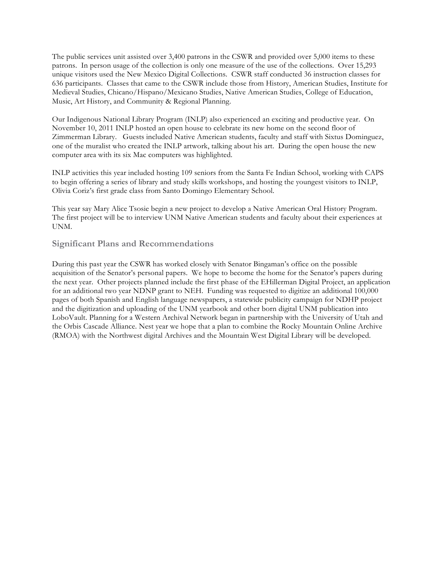The public services unit assisted over 3,400 patrons in the CSWR and provided over 5,000 items to these patrons. In person usage of the collection is only one measure of the use of the collections. Over 15,293 unique visitors used the New Mexico Digital Collections. CSWR staff conducted 36 instruction classes for 636 participants. Classes that came to the CSWR include those from History, American Studies, Institute for Medieval Studies, Chicano/Hispano/Mexicano Studies, Native American Studies, College of Education, Music, Art History, and Community & Regional Planning.

Our Indigenous National Library Program (INLP) also experienced an exciting and productive year. On November 10, 2011 INLP hosted an open house to celebrate its new home on the second floor of Zimmerman Library. Guests included Native American students, faculty and staff with Sixtus Dominguez, one of the muralist who created the INLP artwork, talking about his art. During the open house the new computer area with its six Mac computers was highlighted.

INLP activities this year included hosting 109 seniors from the Santa Fe Indian School, working with CAPS to begin offering a series of library and study skills workshops, and hosting the youngest visitors to INLP, Olivia Coriz's first grade class from Santo Domingo Elementary School.

This year say Mary Alice Tsosie begin a new project to develop a Native American Oral History Program. The first project will be to interview UNM Native American students and faculty about their experiences at UNM.

## **Significant Plans and Recommendations**

During this past year the CSWR has worked closely with Senator Bingaman's office on the possible acquisition of the Senator's personal papers. We hope to become the home for the Senator's papers during the next year. Other projects planned include the first phase of the EHillerman Digital Project, an application for an additional two year NDNP grant to NEH. Funding was requested to digitize an additional 100,000 pages of both Spanish and English language newspapers, a statewide publicity campaign for NDHP project and the digitization and uploading of the UNM yearbook and other born digital UNM publication into LoboVault. Planning for a Western Archival Network began in partnership with the University of Utah and the Orbis Cascade Alliance. Nest year we hope that a plan to combine the Rocky Mountain Online Archive (RMOA) with the Northwest digital Archives and the Mountain West Digital Library will be developed.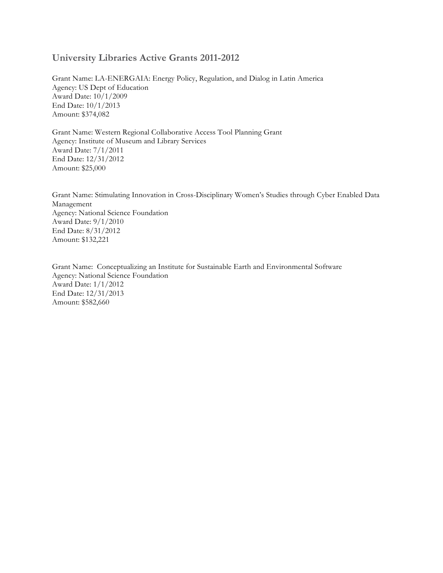## **University Libraries Active Grants 2011-2012**

Grant Name: LA-ENERGAIA: Energy Policy, Regulation, and Dialog in Latin America Agency: US Dept of Education Award Date: 10/1/2009 End Date: 10/1/2013 Amount: \$374,082

Grant Name: Western Regional Collaborative Access Tool Planning Grant Agency: Institute of Museum and Library Services Award Date: 7/1/2011 End Date: 12/31/2012 Amount: \$25,000

Grant Name: Stimulating Innovation in Cross-Disciplinary Women's Studies through Cyber Enabled Data Management Agency: National Science Foundation Award Date: 9/1/2010 End Date: 8/31/2012 Amount: \$132,221

Grant Name: Conceptualizing an Institute for Sustainable Earth and Environmental Software Agency: National Science Foundation Award Date: 1/1/2012 End Date: 12/31/2013 Amount: \$582,660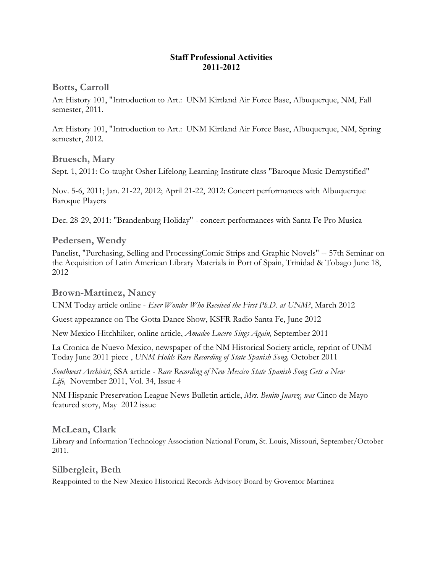## **Staff Professional Activities 2011-2012**

**Botts, Carroll**

Art History 101, "Introduction to Art.: UNM Kirtland Air Force Base, Albuquerque, NM, Fall semester, 2011.

Art History 101, "Introduction to Art.: UNM Kirtland Air Force Base, Albuquerque, NM, Spring semester, 2012.

**Bruesch, Mary**

Sept. 1, 2011: Co-taught Osher Lifelong Learning Institute class "Baroque Music Demystified"

Nov. 5-6, 2011; Jan. 21-22, 2012; April 21-22, 2012: Concert performances with Albuquerque Baroque Players

Dec. 28-29, 2011: "Brandenburg Holiday" - concert performances with Santa Fe Pro Musica

## **Pedersen, Wendy**

Panelist, "Purchasing, Selling and ProcessingComic Strips and Graphic Novels" -- 57th Seminar on the Acquisition of Latin American Library Materials in Port of Spain, Trinidad & Tobago June 18, 2012

## **Brown-Martinez, Nancy**

UNM Today article online - *Ever Wonder Who Received the First Ph.D. at UNM?*, March 2012

Guest appearance on The Gotta Dance Show, KSFR Radio Santa Fe, June 2012

New Mexico Hitchhiker, online article, *Amadeo Lucero Sings Again,* September 2011

La Cronica de Nuevo Mexico, newspaper of the NM Historical Society article, reprint of UNM Today June 2011 piece , *UNM Holds Rare Recording of State Spanish Song,* October 2011

*Southwest Archivist*, SSA article - *Rare Recording of New Mexico State Spanish Song Gets a New Life,* November 2011, Vol. 34, Issue 4

NM Hispanic Preservation League News Bulletin article, *Mrs. Benito Juarez, was* Cinco de Mayo featured story, May 2012 issue

## **McLean, Clark**

Library and Information Technology Association National Forum, St. Louis, Missouri, September/October 2011.

**Silbergleit, Beth** Reappointed to the New Mexico Historical Records Advisory Board by Governor Martinez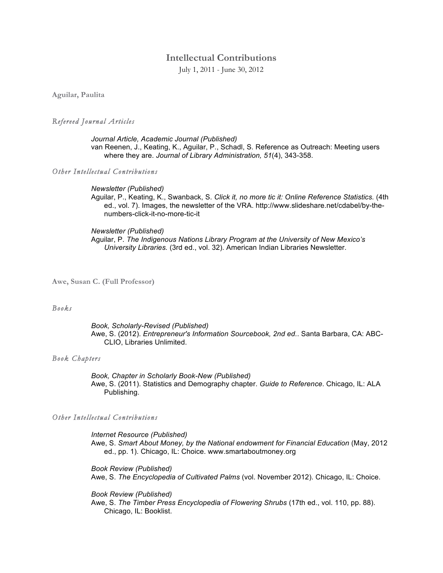## **Intellectual Contributions**

July 1, 2011 - June 30, 2012

**Aguilar, Paulita** 

#### *Refereed Journal Articles*

*Journal Article, Academic Journal (Published)* van Reenen, J., Keating, K., Aguilar, P., Schadl, S. Reference as Outreach: Meeting users where they are. *Journal of Library Administration, 51*(4), 343-358.

*Other Intellectual Contributions*

#### *Newsletter (Published)*

Aguilar, P., Keating, K., Swanback, S. *Click it, no more tic it: Online Reference Statistics.* (4th ed., vol. 7). Images, the newsletter of the VRA. http://www.slideshare.net/cdabel/by-thenumbers-click-it-no-more-tic-it

#### *Newsletter (Published)*

Aguilar, P. *The Indigenous Nations Library Program at the University of New Mexico's University Libraries.* (3rd ed., vol. 32). American Indian Libraries Newsletter.

**Awe, Susan C. (Full Professor)**

#### *Books*

*Book, Scholarly-Revised (Published)* Awe, S. (2012). *Entrepreneur's Information Sourcebook, 2nd ed.*. Santa Barbara, CA: ABC-CLIO, Libraries Unlimited.

#### *Book Chapters*

*Book, Chapter in Scholarly Book-New (Published)* Awe, S. (2011). Statistics and Demography chapter. *Guide to Reference*. Chicago, IL: ALA Publishing.

#### *Other Intellectual Contributions*

*Internet Resource (Published)* Awe, S. *Smart About Money, by the National endowment for Financial Education* (May, 2012 ed., pp. 1). Chicago, IL: Choice. www.smartaboutmoney.org

*Book Review (Published)* Awe, S. *The Encyclopedia of Cultivated Palms* (vol. November 2012). Chicago, IL: Choice.

*Book Review (Published)* Awe, S. *The Timber Press Encyclopedia of Flowering Shrubs* (17th ed., vol. 110, pp. 88). Chicago, IL: Booklist.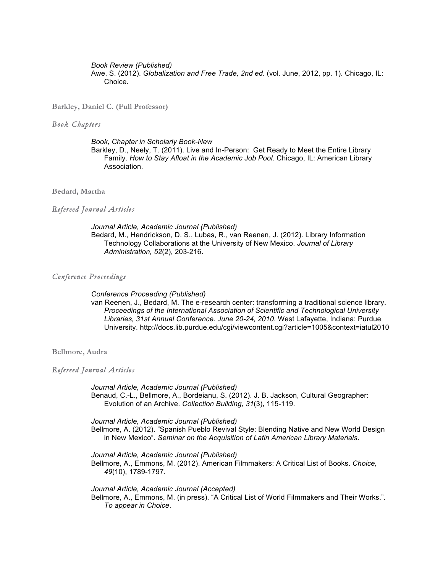*Book Review (Published)* Awe, S. (2012). *Globalization and Free Trade, 2nd ed.* (vol. June, 2012, pp. 1). Chicago, IL: Choice.

**Barkley, Daniel C. (Full Professor)**

#### *Book Chapters*

*Book, Chapter in Scholarly Book-New*  Barkley, D., Neely, T. (2011). Live and In-Person: Get Ready to Meet the Entire Library Family. *How to Stay Afloat in the Academic Job Pool*. Chicago, IL: American Library Association.

**Bedard, Martha** 

#### *Refereed Journal Articles*

*Journal Article, Academic Journal (Published)* Bedard, M., Hendrickson, D. S., Lubas, R., van Reenen, J. (2012). Library Information Technology Collaborations at the University of New Mexico. *Journal of Library Administration, 52*(2), 203-216.

#### *Conference Proceedings*

*Conference Proceeding (Published)*

van Reenen, J., Bedard, M. The e-research center: transforming a traditional science library. *Proceedings of the International Association of Scientific and Technological University Libraries, 31st Annual Conference. June 20-24, 2010*. West Lafayette, Indiana: Purdue University. http://docs.lib.purdue.edu/cgi/viewcontent.cgi?article=1005&context=iatul2010

**Bellmore, Audra** 

#### *Refereed Journal Articles*

*Journal Article, Academic Journal (Published)* Benaud, C.-L., Bellmore, A., Bordeianu, S. (2012). J. B. Jackson, Cultural Geographer: Evolution of an Archive. *Collection Building, 31*(3), 115-119.

*Journal Article, Academic Journal (Published)* Bellmore, A. (2012). "Spanish Pueblo Revival Style: Blending Native and New World Design in New Mexico". *Seminar on the Acquisition of Latin American Library Materials*.

*Journal Article, Academic Journal (Published)* Bellmore, A., Emmons, M. (2012). American Filmmakers: A Critical List of Books. *Choice, 49*(10), 1789-1797.

*Journal Article, Academic Journal (Accepted)* Bellmore, A., Emmons, M. (in press). "A Critical List of World Filmmakers and Their Works.". *To appear in Choice*.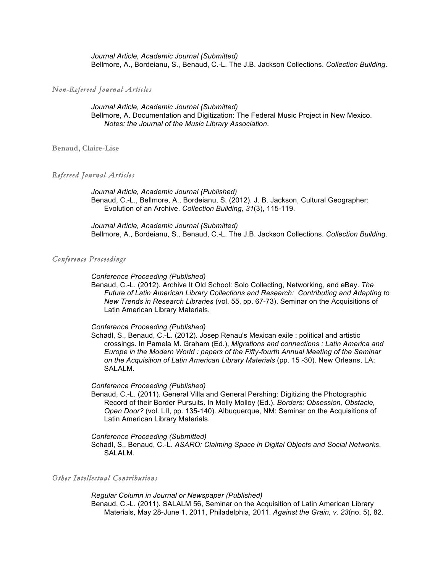*Journal Article, Academic Journal (Submitted)* Bellmore, A., Bordeianu, S., Benaud, C.-L. The J.B. Jackson Collections. *Collection Building*.

#### *Non-Refereed Journal Articles*

*Journal Article, Academic Journal (Submitted)* Bellmore, A. Documentation and Digitization: The Federal Music Project in New Mexico. *Notes: the Journal of the Music Library Association*.

**Benaud, Claire-Lise** 

#### *Refereed Journal Articles*

*Journal Article, Academic Journal (Published)* Benaud, C.-L., Bellmore, A., Bordeianu, S. (2012). J. B. Jackson, Cultural Geographer: Evolution of an Archive. *Collection Building, 31*(3), 115-119.

*Journal Article, Academic Journal (Submitted)* Bellmore, A., Bordeianu, S., Benaud, C.-L. The J.B. Jackson Collections. *Collection Building*.

#### *Conference Proceedings*

#### *Conference Proceeding (Published)*

Benaud, C.-L. (2012). Archive It Old School: Solo Collecting, Networking, and eBay. *The Future of Latin American Library Collections and Research: Contributing and Adapting to New Trends in Research Libraries* (vol. 55, pp. 67-73). Seminar on the Acquisitions of Latin American Library Materials.

#### *Conference Proceeding (Published)*

Schadl, S., Benaud, C.-L. (2012). Josep Renau's Mexican exile : political and artistic crossings. In Pamela M. Graham (Ed.), *Migrations and connections : Latin America and Europe in the Modern World : papers of the Fifty-fourth Annual Meeting of the Seminar on the Acquisition of Latin American Library Materials* (pp. 15 -30). New Orleans, LA: SALALM.

#### *Conference Proceeding (Published)*

Benaud, C.-L. (2011). General Villa and General Pershing: Digitizing the Photographic Record of their Border Pursuits. In Molly Molloy (Ed.), *Borders: Obsession, Obstacle, Open Door?* (vol. LII, pp. 135-140). Albuquerque, NM: Seminar on the Acquisitions of Latin American Library Materials.

#### *Conference Proceeding (Submitted)*

Schadl, S., Benaud, C.-L. *ASARO: Claiming Space in Digital Objects and Social Networks*. SALALM.

## *Other Intellectual Contributions*

*Regular Column in Journal or Newspaper (Published)* Benaud, C.-L. (2011). SALALM 56, Seminar on the Acquisition of Latin American Library Materials, May 28-June 1, 2011, Philadelphia, 2011. *Against the Grain, v. 23*(no. 5), 82.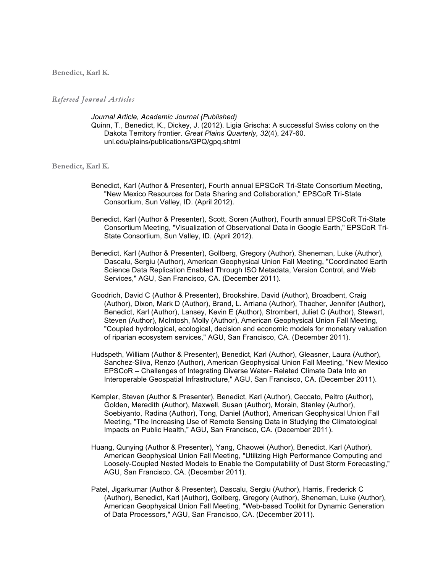**Benedict, Karl K.** 

#### *Refereed Journal Articles*

*Journal Article, Academic Journal (Published)* Quinn, T., Benedict, K., Dickey, J. (2012). Ligia Grischa: A successful Swiss colony on the Dakota Territory frontier. *Great Plains Quarterly, 32*(4), 247-60. unl.edu/plains/publications/GPQ/gpq.shtml

**Benedict, Karl K.** 

- Benedict, Karl (Author & Presenter), Fourth annual EPSCoR Tri-State Consortium Meeting, "New Mexico Resources for Data Sharing and Collaboration," EPSCoR Tri-State Consortium, Sun Valley, ID. (April 2012).
- Benedict, Karl (Author & Presenter), Scott, Soren (Author), Fourth annual EPSCoR Tri-State Consortium Meeting, "Visualization of Observational Data in Google Earth," EPSCoR Tri-State Consortium, Sun Valley, ID. (April 2012).
- Benedict, Karl (Author & Presenter), Gollberg, Gregory (Author), Sheneman, Luke (Author), Dascalu, Sergiu (Author), American Geophysical Union Fall Meeting, "Coordinated Earth Science Data Replication Enabled Through ISO Metadata, Version Control, and Web Services," AGU, San Francisco, CA. (December 2011).
- Goodrich, David C (Author & Presenter), Brookshire, David (Author), Broadbent, Craig (Author), Dixon, Mark D (Author), Brand, L. Arriana (Author), Thacher, Jennifer (Author), Benedict, Karl (Author), Lansey, Kevin E (Author), Strombert, Juliet C (Author), Stewart, Steven (Author), McIntosh, Molly (Author), American Geophysical Union Fall Meeting, "Coupled hydrological, ecological, decision and economic models for monetary valuation of riparian ecosystem services," AGU, San Francisco, CA. (December 2011).
- Hudspeth, William (Author & Presenter), Benedict, Karl (Author), Gleasner, Laura (Author), Sanchez-Silva, Renzo (Author), American Geophysical Union Fall Meeting, "New Mexico EPSCoR – Challenges of Integrating Diverse Water- Related Climate Data Into an Interoperable Geospatial Infrastructure," AGU, San Francisco, CA. (December 2011).
- Kempler, Steven (Author & Presenter), Benedict, Karl (Author), Ceccato, Peitro (Author), Golden, Meredith (Author), Maxwell, Susan (Author), Morain, Stanley (Author), Soebiyanto, Radina (Author), Tong, Daniel (Author), American Geophysical Union Fall Meeting, "The Increasing Use of Remote Sensing Data in Studying the Climatological Impacts on Public Health," AGU, San Francisco, CA. (December 2011).
- Huang, Qunying (Author & Presenter), Yang, Chaowei (Author), Benedict, Karl (Author), American Geophysical Union Fall Meeting, "Utilizing High Performance Computing and Loosely-Coupled Nested Models to Enable the Computability of Dust Storm Forecasting," AGU, San Francisco, CA. (December 2011).
- Patel, Jigarkumar (Author & Presenter), Dascalu, Sergiu (Author), Harris, Frederick C (Author), Benedict, Karl (Author), Gollberg, Gregory (Author), Sheneman, Luke (Author), American Geophysical Union Fall Meeting, "Web-based Toolkit for Dynamic Generation of Data Processors," AGU, San Francisco, CA. (December 2011).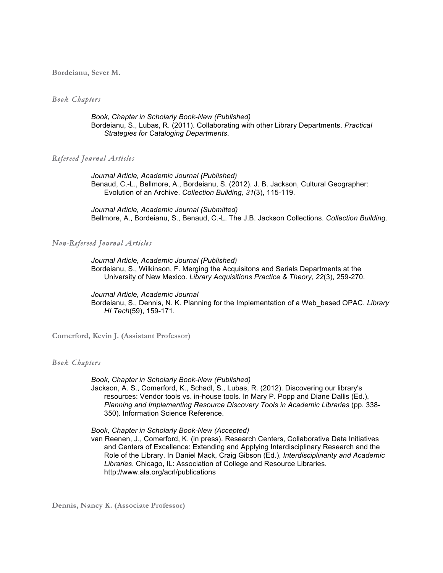**Bordeianu, Sever M.** 

#### *Book Chapters*

*Book, Chapter in Scholarly Book-New (Published)* Bordeianu, S., Lubas, R. (2011). Collaborating with other Library Departments. *Practical Strategies for Cataloging Departments*.

#### *Refereed Journal Articles*

*Journal Article, Academic Journal (Published)* Benaud, C.-L., Bellmore, A., Bordeianu, S. (2012). J. B. Jackson, Cultural Geographer: Evolution of an Archive. *Collection Building, 31*(3), 115-119.

*Journal Article, Academic Journal (Submitted)* Bellmore, A., Bordeianu, S., Benaud, C.-L. The J.B. Jackson Collections. *Collection Building*.

### *Non-Refereed Journal Articles*

*Journal Article, Academic Journal (Published)* Bordeianu, S., Wilkinson, F. Merging the Acquisitons and Serials Departments at the University of New Mexico. *Library Acquisitions Practice & Theory, 22*(3), 259-270.

*Journal Article, Academic Journal* 

Bordeianu, S., Dennis, N. K. Planning for the Implementation of a Web\_based OPAC. *Library HI Tech*(59), 159-171.

**Comerford, Kevin J. (Assistant Professor)**

#### *Book Chapters*

#### *Book, Chapter in Scholarly Book-New (Published)*

Jackson, A. S., Comerford, K., Schadl, S., Lubas, R. (2012). Discovering our library's resources: Vendor tools vs. in-house tools. In Mary P. Popp and Diane Dallis (Ed.), *Planning and Implementing Resource Discovery Tools in Academic Libraries* (pp. 338- 350). Information Science Reference.

*Book, Chapter in Scholarly Book-New (Accepted)*

van Reenen, J., Comerford, K. (in press). Research Centers, Collaborative Data Initiatives and Centers of Excellence: Extending and Applying Interdisciplinary Research and the Role of the Library. In Daniel Mack, Craig Gibson (Ed.), *Interdisciplinarity and Academic Libraries*. Chicago, IL: Association of College and Resource Libraries. http://www.ala.org/acrl/publications

**Dennis, Nancy K. (Associate Professor)**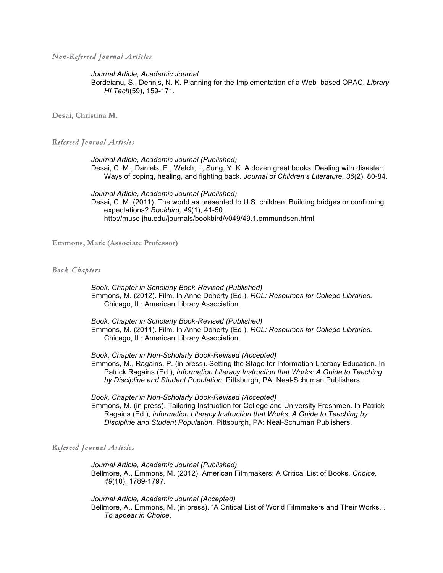*Non-Refereed Journal Articles*

*Journal Article, Academic Journal* 

Bordeianu, S., Dennis, N. K. Planning for the Implementation of a Web\_based OPAC. *Library HI Tech*(59), 159-171.

**Desai, Christina M.** 

*Refereed Journal Articles*

*Journal Article, Academic Journal (Published)* Desai, C. M., Daniels, E., Welch, I., Sung, Y. K. A dozen great books: Dealing with disaster: Ways of coping, healing, and fighting back. *Journal of Children's Literature, 36*(2), 80-84.

*Journal Article, Academic Journal (Published)* Desai, C. M. (2011). The world as presented to U.S. children: Building bridges or confirming expectations? *Bookbird, 49*(1), 41-50. http://muse.jhu.edu/journals/bookbird/v049/49.1.ommundsen.html

**Emmons, Mark (Associate Professor)**

#### *Book Chapters*

*Book, Chapter in Scholarly Book-Revised (Published)* Emmons, M. (2012). Film. In Anne Doherty (Ed.), *RCL: Resources for College Libraries*. Chicago, IL: American Library Association.

*Book, Chapter in Scholarly Book-Revised (Published)* Emmons, M. (2011). Film. In Anne Doherty (Ed.), *RCL: Resources for College Libraries*. Chicago, IL: American Library Association.

*Book, Chapter in Non-Scholarly Book-Revised (Accepted)*

Emmons, M., Ragains, P. (in press). Setting the Stage for Information Literacy Education. In Patrick Ragains (Ed.), *Information Literacy Instruction that Works: A Guide to Teaching by Discipline and Student Population*. Pittsburgh, PA: Neal-Schuman Publishers.

*Book, Chapter in Non-Scholarly Book-Revised (Accepted)*

Emmons, M. (in press). Tailoring Instruction for College and University Freshmen. In Patrick Ragains (Ed.), *Information Literacy Instruction that Works: A Guide to Teaching by Discipline and Student Population*. Pittsburgh, PA: Neal-Schuman Publishers.

### *Refereed Journal Articles*

*Journal Article, Academic Journal (Published)* Bellmore, A., Emmons, M. (2012). American Filmmakers: A Critical List of Books. *Choice, 49*(10), 1789-1797.

*Journal Article, Academic Journal (Accepted)* Bellmore, A., Emmons, M. (in press). "A Critical List of World Filmmakers and Their Works.". *To appear in Choice*.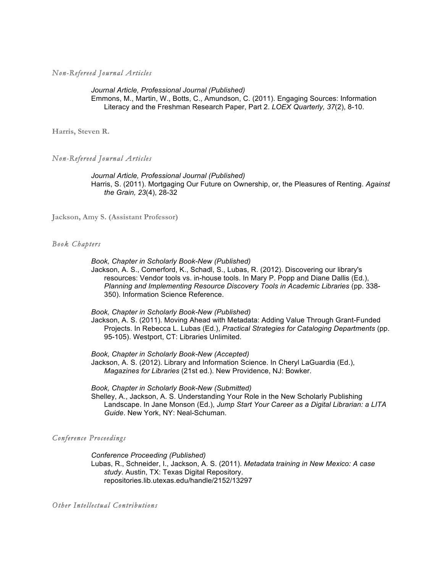*Non-Refereed Journal Articles*

*Journal Article, Professional Journal (Published)* Emmons, M., Martin, W., Botts, C., Amundson, C. (2011). Engaging Sources: Information Literacy and the Freshman Research Paper, Part 2. *LOEX Quarterly, 37*(2), 8-10.

**Harris, Steven R.** 

#### *Non-Refereed Journal Articles*

*Journal Article, Professional Journal (Published)* Harris, S. (2011). Mortgaging Our Future on Ownership, or, the Pleasures of Renting. *Against the Grain, 23*(4), 28-32

**Jackson, Amy S. (Assistant Professor)**

#### *Book Chapters*

*Book, Chapter in Scholarly Book-New (Published)*

Jackson, A. S., Comerford, K., Schadl, S., Lubas, R. (2012). Discovering our library's resources: Vendor tools vs. in-house tools. In Mary P. Popp and Diane Dallis (Ed.), *Planning and Implementing Resource Discovery Tools in Academic Libraries* (pp. 338- 350). Information Science Reference.

*Book, Chapter in Scholarly Book-New (Published)*

Jackson, A. S. (2011). Moving Ahead with Metadata: Adding Value Through Grant-Funded Projects. In Rebecca L. Lubas (Ed.), *Practical Strategies for Cataloging Departments* (pp. 95-105). Westport, CT: Libraries Unlimited.

*Book, Chapter in Scholarly Book-New (Accepted)* Jackson, A. S. (2012). Library and Information Science. In Cheryl LaGuardia (Ed.), *Magazines for Libraries* (21st ed.). New Providence, NJ: Bowker.

*Book, Chapter in Scholarly Book-New (Submitted)*

Shelley, A., Jackson, A. S. Understanding Your Role in the New Scholarly Publishing Landscape. In Jane Monson (Ed.), *Jump Start Your Career as a Digital Librarian: a LITA Guide*. New York, NY: Neal-Schuman.

*Conference Proceedings*

*Conference Proceeding (Published)*

Lubas, R., Schneider, I., Jackson, A. S. (2011). *Metadata training in New Mexico: A case study*. Austin, TX: Texas Digital Repository. repositories.lib.utexas.edu/handle/2152/13297

*Other Intellectual Contributions*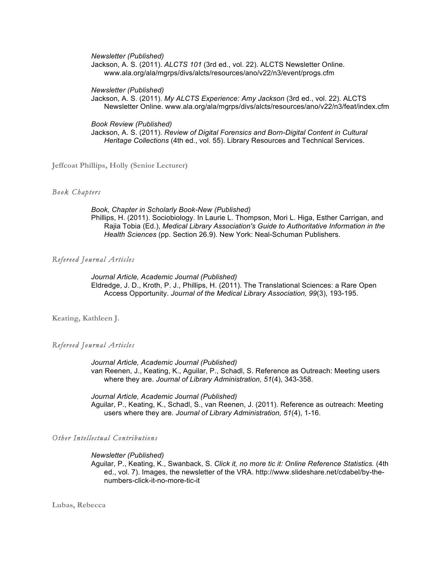*Newsletter (Published)*

Jackson, A. S. (2011). *ALCTS 101* (3rd ed., vol. 22). ALCTS Newsletter Online. www.ala.org/ala/mgrps/divs/alcts/resources/ano/v22/n3/event/progs.cfm

*Newsletter (Published)*

Jackson, A. S. (2011). *My ALCTS Experience: Amy Jackson* (3rd ed., vol. 22). ALCTS Newsletter Online. www.ala.org/ala/mgrps/divs/alcts/resources/ano/v22/n3/feat/index.cfm

*Book Review (Published)*

Jackson, A. S. (2011). *Review of Digital Forensics and Born-Digital Content in Cultural Heritage Collections* (4th ed., vol. 55). Library Resources and Technical Services.

**Jeffcoat Phillips, Holly (Senior Lecturer)**

### *Book Chapters*

*Book, Chapter in Scholarly Book-New (Published)* Phillips, H. (2011). Sociobiology. In Laurie L. Thompson, Mori L. Higa, Esther Carrigan, and Rajia Tobia (Ed.), *Medical Library Association's Guide to Authoritative Information in the Health Sciences* (pp. Section 26.9). New York: Neal-Schuman Publishers.

#### *Refereed Journal Articles*

*Journal Article, Academic Journal (Published)* Eldredge, J. D., Kroth, P. J., Phillips, H. (2011). The Translational Sciences: a Rare Open Access Opportunity. *Journal of the Medical Library Association, 99*(3), 193-195.

**Keating, Kathleen J.** 

#### *Refereed Journal Articles*

*Journal Article, Academic Journal (Published)* van Reenen, J., Keating, K., Aguilar, P., Schadl, S. Reference as Outreach: Meeting users where they are. *Journal of Library Administration, 51*(4), 343-358.

*Journal Article, Academic Journal (Published)* Aguilar, P., Keating, K., Schadl, S., van Reenen, J. (2011). Reference as outreach: Meeting users where they are. *Journal of Library Administration, 51*(4), 1-16.

*Other Intellectual Contributions*

#### *Newsletter (Published)*

Aguilar, P., Keating, K., Swanback, S. *Click it, no more tic it: Online Reference Statistics.* (4th ed., vol. 7). Images, the newsletter of the VRA. http://www.slideshare.net/cdabel/by-thenumbers-click-it-no-more-tic-it

**Lubas, Rebecca**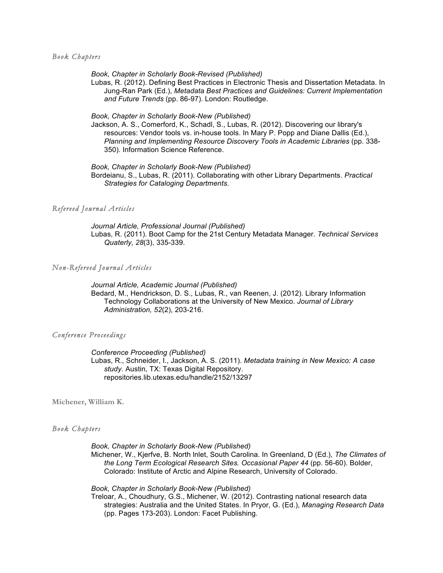#### *Book Chapters*

*Book, Chapter in Scholarly Book-Revised (Published)*

Lubas, R. (2012). Defining Best Practices in Electronic Thesis and Dissertation Metadata. In Jung-Ran Park (Ed.), *Metadata Best Practices and Guidelines: Current Implementation and Future Trends* (pp. 86-97). London: Routledge.

*Book, Chapter in Scholarly Book-New (Published)*

Jackson, A. S., Comerford, K., Schadl, S., Lubas, R. (2012). Discovering our library's resources: Vendor tools vs. in-house tools. In Mary P. Popp and Diane Dallis (Ed.), *Planning and Implementing Resource Discovery Tools in Academic Libraries* (pp. 338- 350). Information Science Reference.

*Book, Chapter in Scholarly Book-New (Published)* Bordeianu, S., Lubas, R. (2011). Collaborating with other Library Departments. *Practical Strategies for Cataloging Departments*.

#### *Refereed Journal Articles*

*Journal Article, Professional Journal (Published)* Lubas, R. (2011). Boot Camp for the 21st Century Metadata Manager. *Technical Services Quaterly, 28*(3), 335-339.

#### *Non-Refereed Journal Articles*

*Journal Article, Academic Journal (Published)* Bedard, M., Hendrickson, D. S., Lubas, R., van Reenen, J. (2012). Library Information Technology Collaborations at the University of New Mexico. *Journal of Library Administration, 52*(2), 203-216.

#### *Conference Proceedings*

*Conference Proceeding (Published)*

Lubas, R., Schneider, I., Jackson, A. S. (2011). *Metadata training in New Mexico: A case study*. Austin, TX: Texas Digital Repository. repositories.lib.utexas.edu/handle/2152/13297

**Michener, William K.** 

#### *Book Chapters*

*Book, Chapter in Scholarly Book-New (Published)*

Michener, W., Kjerfve, B. North lnlet, South Carolina. In Greenland, D (Ed.), *The Climates of the Long Term Ecological Research Sites. Occasional Paper 44* (pp. 56-60). Bolder, Colorado: Institute of Arctic and Alpine Research, University of Colorado.

*Book, Chapter in Scholarly Book-New (Published)*

Treloar, A., Choudhury, G.S., Michener, W. (2012). Contrasting national research data strategies: Australia and the United States. In Pryor, G. (Ed.), *Managing Research Data* (pp. Pages 173-203). London: Facet Publishing.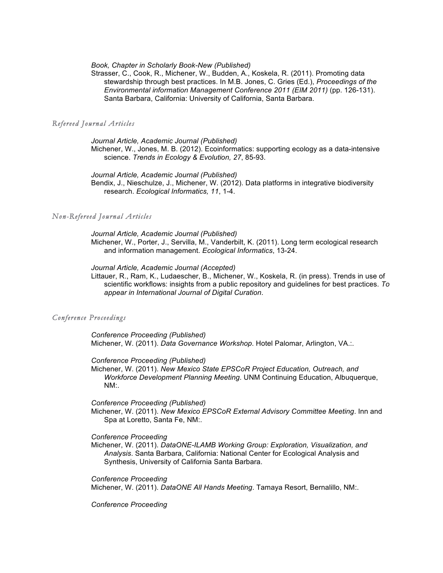*Book, Chapter in Scholarly Book-New (Published)*

Strasser, C., Cook, R., Michener, W., Budden, A., Koskela, R. (2011). Promoting data stewardship through best practices. In M.B. Jones, C. Gries (Ed.), *Proceedings of the Environmental information Management Conference 2011 (EIM 2011)* (pp. 126-131). Santa Barbara, California: University of California, Santa Barbara.

#### *Refereed Journal Articles*

*Journal Article, Academic Journal (Published)* Michener, W., Jones, M. B. (2012). Ecoinformatics: supporting ecology as a data-intensive science. *Trends in Ecology & Evolution, 27*, 85-93.

*Journal Article, Academic Journal (Published)* Bendix, J., Nieschulze, J., Michener, W. (2012). Data platforms in integrative biodiversity research. *Ecological Informatics, 11*, 1-4.

#### *Non-Refereed Journal Articles*

*Journal Article, Academic Journal (Published)* Michener, W., Porter, J., Servilla, M., Vanderbilt, K. (2011). Long term ecological research and information management. *Ecological Informatics*, 13-24.

#### *Journal Article, Academic Journal (Accepted)*

Littauer, R., Ram, K., Ludaescher, B., Michener, W., Koskela, R. (in press). Trends in use of scientific workflows: insights from a public repository and guidelines for best practices. *To appear in International Journal of Digital Curation*.

#### *Conference Proceedings*

*Conference Proceeding (Published)* Michener, W. (2011). *Data Governance Workshop*. Hotel Palomar, Arlington, VA.:.

*Conference Proceeding (Published)*

Michener, W. (2011). *New Mexico State EPSCoR Project Education, Outreach, and Workforce Development Planning Meeting*. UNM Continuing Education, Albuquerque, NM:.

#### *Conference Proceeding (Published)*

Michener, W. (2011). *New Mexico EPSCoR External Advisory Committee Meeting*. Inn and Spa at Loretto, Santa Fe, NM:.

*Conference Proceeding* 

Michener, W. (2011). *DataONE-ILAMB Working Group: Exploration, Visualization, and Analysis*. Santa Barbara, California: National Center for Ecological Analysis and Synthesis, University of California Santa Barbara.

*Conference Proceeding* 

Michener, W. (2011). *DataONE All Hands Meeting*. Tamaya Resort, Bernalillo, NM:.

*Conference Proceeding*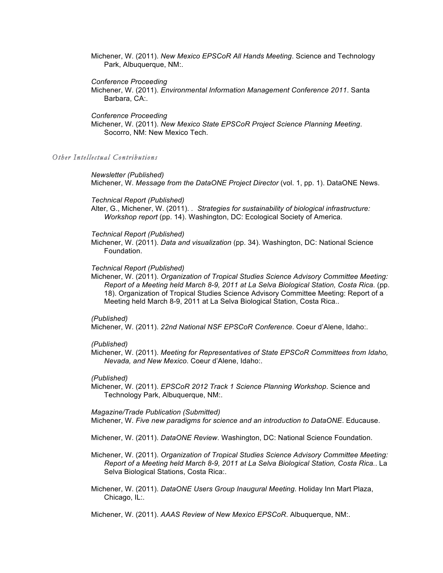Michener, W. (2011). *New Mexico EPSCoR All Hands Meeting*. Science and Technology Park, Albuquerque, NM:.

#### *Conference Proceeding*

Michener, W. (2011). *Environmental Information Management Conference 2011*. Santa Barbara, CA:.

#### *Conference Proceeding*

Michener, W. (2011). *New Mexico State EPSCoR Project Science Planning Meeting*. Socorro, NM: New Mexico Tech.

#### *Other Intellectual Contributions*

#### *Newsletter (Published)*

Michener, W. *Message from the DataONE Project Director* (vol. 1, pp. 1). DataONE News.

#### *Technical Report (Published)*

Alter, G., Michener, W. (2011). *. Strategies for sustainability of biological infrastructure: Workshop report* (pp. 14). Washington, DC: Ecological Society of America.

#### *Technical Report (Published)*

Michener, W. (2011). *Data and visualization* (pp. 34). Washington, DC: National Science Foundation.

#### *Technical Report (Published)*

Michener, W. (2011). *Organization of Tropical Studies Science Advisory Committee Meeting: Report of a Meeting held March 8-9, 2011 at La Selva Biological Station, Costa Rica.* (pp. 18). Organization of Tropical Studies Science Advisory Committee Meeting: Report of a Meeting held March 8-9, 2011 at La Selva Biological Station, Costa Rica..

#### *(Published)*

Michener, W. (2011). *22nd National NSF EPSCoR Conference*. Coeur d'Alene, Idaho:.

### *(Published)*

Michener, W. (2011). *Meeting for Representatives of State EPSCoR Committees from Idaho, Nevada, and New Mexico*. Coeur d'Alene, Idaho:.

#### *(Published)*

Michener, W. (2011). *EPSCoR 2012 Track 1 Science Planning Workshop*. Science and Technology Park, Albuquerque, NM:.

#### *Magazine/Trade Publication (Submitted)*

Michener, W. *Five new paradigms for science and an introduction to DataONE*. Educause.

Michener, W. (2011). *DataONE Review*. Washington, DC: National Science Foundation.

- Michener, W. (2011). *Organization of Tropical Studies Science Advisory Committee Meeting: Report of a Meeting held March 8-9, 2011 at La Selva Biological Station, Costa Rica.*. La Selva Biological Stations, Costa Rica:.
- Michener, W. (2011). *DataONE Users Group Inaugural Meeting*. Holiday Inn Mart Plaza, Chicago, IL:.

Michener, W. (2011). *AAAS Review of New Mexico EPSCoR*. Albuquerque, NM:.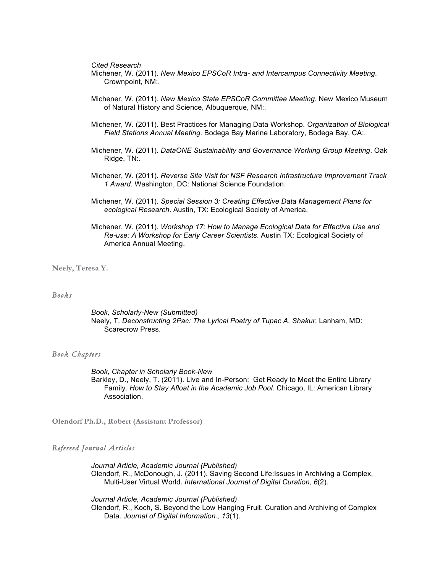*Cited Research* 

- Michener, W. (2011). *New Mexico EPSCoR Intra- and Intercampus Connectivity Meeting*. Crownpoint, NM:.
- Michener, W. (2011). *New Mexico State EPSCoR Committee Meeting*. New Mexico Museum of Natural History and Science, Albuquerque, NM:.
- Michener, W. (2011). Best Practices for Managing Data Workshop. *Organization of Biological Field Stations Annual Meeting*. Bodega Bay Marine Laboratory, Bodega Bay, CA:.
- Michener, W. (2011). *DataONE Sustainability and Governance Working Group Meeting*. Oak Ridge, TN:.
- Michener, W. (2011). *Reverse Site Visit for NSF Research Infrastructure Improvement Track 1 Award*. Washington, DC: National Science Foundation.
- Michener, W. (2011). *Special Session 3: Creating Effective Data Management Plans for ecological Research*. Austin, TX: Ecological Society of America.
- Michener, W. (2011). *Workshop 17: How to Manage Ecological Data for Effective Use and Re-use: A Workshop for Early Career Scientists*. Austin TX: Ecological Society of America Annual Meeting.

**Neely, Teresa Y.** 

#### *Books*

*Book, Scholarly-New (Submitted)* Neely, T. *Deconstructing 2Pac: The Lyrical Poetry of Tupac A. Shakur*. Lanham, MD: Scarecrow Press.

#### *Book Chapters*

*Book, Chapter in Scholarly Book-New*  Barkley, D., Neely, T. (2011). Live and In-Person: Get Ready to Meet the Entire Library Family. *How to Stay Afloat in the Academic Job Pool*. Chicago, IL: American Library Association.

**Olendorf Ph.D., Robert (Assistant Professor)**

#### *Refereed Journal Articles*

*Journal Article, Academic Journal (Published)* Olendorf, R., McDonough, J. (2011). Saving Second Life:Issues in Archiving a Complex, Multi-User Virtual World. *International Journal of Digital Curation, 6*(2).

*Journal Article, Academic Journal (Published)* Olendorf, R., Koch, S. Beyond the Low Hanging Fruit. Curation and Archiving of Complex Data. *Journal of Digital Information., 13*(1).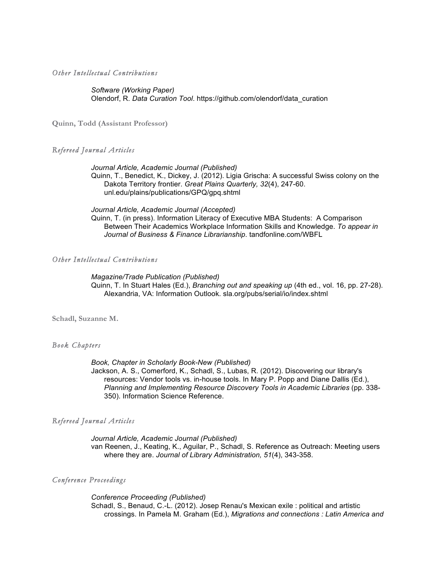*Other Intellectual Contributions*

*Software (Working Paper)* Olendorf, R. *Data Curation Tool*. https://github.com/olendorf/data\_curation

**Quinn, Todd (Assistant Professor)**

#### *Refereed Journal Articles*

*Journal Article, Academic Journal (Published)* Quinn, T., Benedict, K., Dickey, J. (2012). Ligia Grischa: A successful Swiss colony on the Dakota Territory frontier. *Great Plains Quarterly, 32*(4), 247-60. unl.edu/plains/publications/GPQ/gpq.shtml

#### *Journal Article, Academic Journal (Accepted)*

Quinn, T. (in press). Information Literacy of Executive MBA Students: A Comparison Between Their Academics Workplace Information Skills and Knowledge. *To appear in Journal of Business & Finance Librarianship*. tandfonline.com/WBFL

### *Other Intellectual Contributions*

*Magazine/Trade Publication (Published)*

Quinn, T. In Stuart Hales (Ed.), *Branching out and speaking up* (4th ed., vol. 16, pp. 27-28). Alexandria, VA: Information Outlook. sla.org/pubs/serial/io/index.shtml

**Schadl, Suzanne M.** 

#### *Book Chapters*

*Book, Chapter in Scholarly Book-New (Published)*

Jackson, A. S., Comerford, K., Schadl, S., Lubas, R. (2012). Discovering our library's resources: Vendor tools vs. in-house tools. In Mary P. Popp and Diane Dallis (Ed.), *Planning and Implementing Resource Discovery Tools in Academic Libraries* (pp. 338- 350). Information Science Reference.

#### *Refereed Journal Articles*

*Journal Article, Academic Journal (Published)* van Reenen, J., Keating, K., Aguilar, P., Schadl, S. Reference as Outreach: Meeting users where they are. *Journal of Library Administration, 51*(4), 343-358.

#### *Conference Proceedings*

*Conference Proceeding (Published)* Schadl, S., Benaud, C.-L. (2012). Josep Renau's Mexican exile : political and artistic crossings. In Pamela M. Graham (Ed.), *Migrations and connections : Latin America and*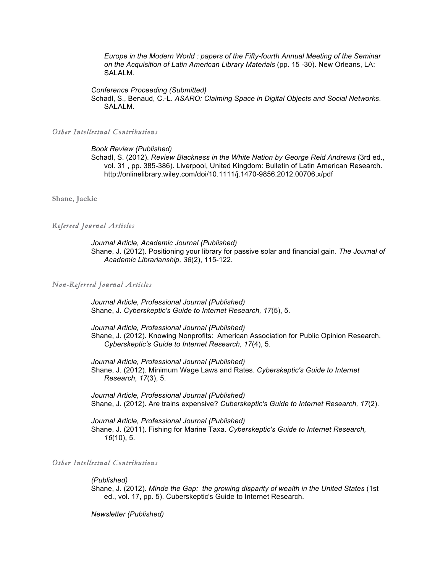*Europe in the Modern World : papers of the Fifty-fourth Annual Meeting of the Seminar on the Acquisition of Latin American Library Materials* (pp. 15 -30). New Orleans, LA: SALALM.

*Conference Proceeding (Submitted)*

Schadl, S., Benaud, C.-L. *ASARO: Claiming Space in Digital Objects and Social Networks*. SALALM.

#### *Other Intellectual Contributions*

#### *Book Review (Published)*

Schadl, S. (2012). *Review Blackness in the White Nation by George Reid Andrews* (3rd ed., vol. 31 , pp. 385-386). Liverpool, United Kingdom: Bulletin of Latin American Research. http://onlinelibrary.wiley.com/doi/10.1111/j.1470-9856.2012.00706.x/pdf

**Shane, Jackie** 

#### *Refereed Journal Articles*

*Journal Article, Academic Journal (Published)* Shane, J. (2012). Positioning your library for passive solar and financial gain. *The Journal of Academic Librarianship, 38*(2), 115-122.

#### *Non-Refereed Journal Articles*

*Journal Article, Professional Journal (Published)* Shane, J. *Cyberskeptic's Guide to Internet Research, 17*(5), 5.

*Journal Article, Professional Journal (Published)* Shane, J. (2012). Knowing Nonprofits: American Association for Public Opinion Research. *Cyberskeptic's Guide to Internet Research, 17*(4), 5.

*Journal Article, Professional Journal (Published)* Shane, J. (2012). Minimum Wage Laws and Rates. *Cyberskeptic's Guide to Internet Research, 17*(3), 5.

*Journal Article, Professional Journal (Published)* Shane, J. (2012). Are trains expensive? *Cuberskeptic's Guide to Internet Research, 17*(2).

*Journal Article, Professional Journal (Published)* Shane, J. (2011). Fishing for Marine Taxa. *Cyberskeptic's Guide to Internet Research, 16*(10), 5.

#### *Other Intellectual Contributions*

#### *(Published)*

Shane, J. (2012). *Minde the Gap: the growing disparity of wealth in the United States* (1st ed., vol. 17, pp. 5). Cuberskeptic's Guide to Internet Research.

*Newsletter (Published)*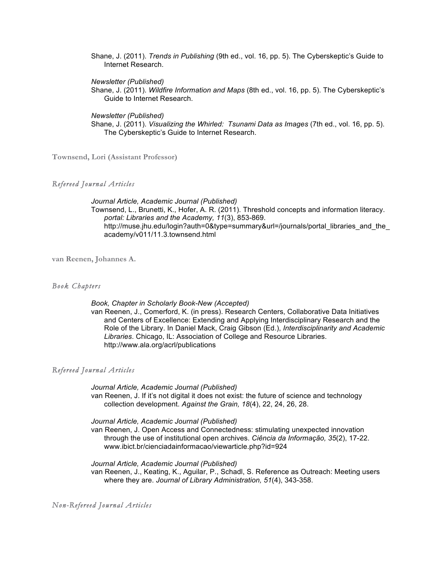Shane, J. (2011). *Trends in Publishing* (9th ed., vol. 16, pp. 5). The Cyberskeptic's Guide to Internet Research.

*Newsletter (Published)*

Shane, J. (2011). *Wildfire Information and Maps* (8th ed., vol. 16, pp. 5). The Cyberskeptic's Guide to Internet Research.

#### *Newsletter (Published)*

Shane, J. (2011). *Visualizing the Whirled: Tsunami Data as Images* (7th ed., vol. 16, pp. 5). The Cyberskeptic's Guide to Internet Research.

**Townsend, Lori (Assistant Professor)**

### *Refereed Journal Articles*

*Journal Article, Academic Journal (Published)* Townsend, L., Brunetti, K., Hofer, A. R. (2011). Threshold concepts and information literacy. *portal: Libraries and the Academy, 11*(3), 853-869. http://muse.jhu.edu/login?auth=0&type=summary&url=/journals/portal\_libraries\_and\_the\_ academy/v011/11.3.townsend.html

**van Reenen, Johannes A.** 

#### *Book Chapters*

#### *Book, Chapter in Scholarly Book-New (Accepted)*

van Reenen, J., Comerford, K. (in press). Research Centers, Collaborative Data Initiatives and Centers of Excellence: Extending and Applying Interdisciplinary Research and the Role of the Library. In Daniel Mack, Craig Gibson (Ed.), *Interdisciplinarity and Academic Libraries*. Chicago, IL: Association of College and Resource Libraries. http://www.ala.org/acrl/publications

#### *Refereed Journal Articles*

*Journal Article, Academic Journal (Published)* van Reenen, J. If it's not digital it does not exist: the future of science and technology collection development. *Against the Grain, 18*(4), 22, 24, 26, 28.

*Journal Article, Academic Journal (Published)*

van Reenen, J. Open Access and Connectedness: stimulating unexpected innovation through the use of institutional open archives. *Ciência da Informação, 35*(2), 17-22. www.ibict.br/cienciadainformacao/viewarticle.php?id=924

*Journal Article, Academic Journal (Published)* van Reenen, J., Keating, K., Aguilar, P., Schadl, S. Reference as Outreach: Meeting users where they are. *Journal of Library Administration, 51*(4), 343-358.

*Non-Refereed Journal Articles*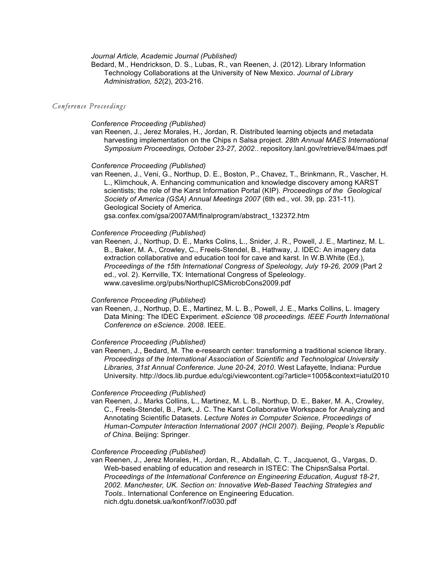*Journal Article, Academic Journal (Published)*

Bedard, M., Hendrickson, D. S., Lubas, R., van Reenen, J. (2012). Library Information Technology Collaborations at the University of New Mexico. *Journal of Library Administration, 52*(2), 203-216.

#### *Conference Proceedings*

#### *Conference Proceeding (Published)*

van Reenen, J., Jerez Morales, H., Jordan, R. Distributed learning objects and metadata harvesting implementation on the Chips n Salsa project. *28th Annual MAES International Symposium Proceedings, October 23-27, 2002.*. repository.lanl.gov/retrieve/84/maes.pdf

#### *Conference Proceeding (Published)*

van Reenen, J., Veni, G., Northup, D. E., Boston, P., Chavez, T., Brinkmann, R., Vascher, H. L., Klimchouk, A. Enhancing communication and knowledge discovery among KARST scientists; the role of the Karst Information Portal (KIP). *Proceedings of the Geological Society of America (GSA) Annual Meetings 2007* (6th ed., vol. 39, pp. 231-11). Geological Society of America.

gsa.confex.com/gsa/2007AM/finalprogram/abstract\_132372.htm

#### *Conference Proceeding (Published)*

van Reenen, J., Northup, D. E., Marks Colins, L., Snider, J. R., Powell, J. E., Martinez, M. L. B., Baker, M. A., Crowley, C., Freels-Stendel, B., Hathway, J. IDEC: An imagery data extraction collaborative and education tool for cave and karst. In W.B.White (Ed.), *Proceedings of the 15th International Congress of Speleology, July 19-26, 2009* (Part 2 ed., vol. 2). Kerrville, TX: International Congress of Speleology. www.caveslime.org/pubs/NorthupICSMicrobCons2009.pdf

#### *Conference Proceeding (Published)*

van Reenen, J., Northup, D. E., Martinez, M. L. B., Powell, J. E., Marks Collins, L. Imagery Data Mining: The IDEC Experiment. *eScience '08 proceedings. IEEE Fourth International Conference on eScience. 2008*. IEEE.

#### *Conference Proceeding (Published)*

van Reenen, J., Bedard, M. The e-research center: transforming a traditional science library. *Proceedings of the International Association of Scientific and Technological University Libraries, 31st Annual Conference. June 20-24, 2010*. West Lafayette, Indiana: Purdue University. http://docs.lib.purdue.edu/cgi/viewcontent.cgi?article=1005&context=iatul2010

#### *Conference Proceeding (Published)*

van Reenen, J., Marks Collins, L., Martinez, M. L. B., Northup, D. E., Baker, M. A., Crowley, C., Freels-Stendel, B., Park, J. C. The Karst Collaborative Workspace for Analyzing and Annotating Scientific Datasets. *Lecture Notes in Computer Science, Proceedings of Human-Computer Interaction International 2007 (HCII 2007). Beijing, People's Republic of China*. Beijing: Springer.

#### *Conference Proceeding (Published)*

van Reenen, J., Jerez Morales, H., Jordan, R., Abdallah, C. T., Jacquenot, G., Vargas, D. Web-based enabling of education and research in ISTEC: The ChipsnSalsa Portal. *Proceedings of the International Conference on Engineering Education, August 18-21, 2002. Manchester, UK. Section on: Innovative Web-Based Teaching Strategies and Tools.*. International Conference on Engineering Education. nich.dgtu.donetsk.ua/konf/konf7/o030.pdf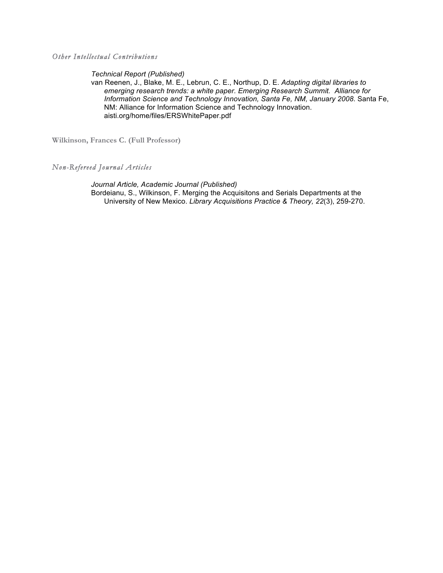*Other Intellectual Contributions*

*Technical Report (Published)*

van Reenen, J., Blake, M. E., Lebrun, C. E., Northup, D. E. *Adapting digital libraries to emerging research trends: a white paper. Emerging Research Summit. Alliance for Information Science and Technology Innovation, Santa Fe, NM, January 2008*. Santa Fe, NM: Alliance for Information Science and Technology Innovation. aisti.org/home/files/ERSWhitePaper.pdf

**Wilkinson, Frances C. (Full Professor)**

## *Non-Refereed Journal Articles*

*Journal Article, Academic Journal (Published)* Bordeianu, S., Wilkinson, F. Merging the Acquisitons and Serials Departments at the University of New Mexico. *Library Acquisitions Practice & Theory, 22*(3), 259-270.